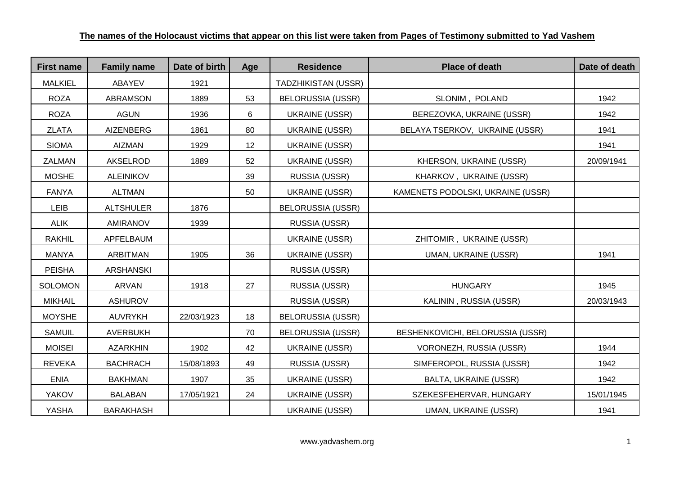| <b>First name</b> | <b>Family name</b> | Date of birth | Age | <b>Residence</b>           | <b>Place of death</b>             | Date of death |
|-------------------|--------------------|---------------|-----|----------------------------|-----------------------------------|---------------|
| <b>MALKIEL</b>    | ABAYEV             | 1921          |     | <b>TADZHIKISTAN (USSR)</b> |                                   |               |
| <b>ROZA</b>       | <b>ABRAMSON</b>    | 1889          | 53  | <b>BELORUSSIA (USSR)</b>   | SLONIM, POLAND                    | 1942          |
| <b>ROZA</b>       | <b>AGUN</b>        | 1936          | 6   | <b>UKRAINE (USSR)</b>      | BEREZOVKA, UKRAINE (USSR)         | 1942          |
| <b>ZLATA</b>      | <b>AIZENBERG</b>   | 1861          | 80  | <b>UKRAINE (USSR)</b>      | BELAYA TSERKOV, UKRAINE (USSR)    | 1941          |
| <b>SIOMA</b>      | <b>AIZMAN</b>      | 1929          | 12  | <b>UKRAINE (USSR)</b>      |                                   | 1941          |
| ZALMAN            | AKSELROD           | 1889          | 52  | <b>UKRAINE (USSR)</b>      | KHERSON, UKRAINE (USSR)           | 20/09/1941    |
| <b>MOSHE</b>      | <b>ALEINIKOV</b>   |               | 39  | RUSSIA (USSR)              | KHARKOV, UKRAINE (USSR)           |               |
| <b>FANYA</b>      | <b>ALTMAN</b>      |               | 50  | <b>UKRAINE (USSR)</b>      | KAMENETS PODOLSKI, UKRAINE (USSR) |               |
| LEIB              | <b>ALTSHULER</b>   | 1876          |     | <b>BELORUSSIA (USSR)</b>   |                                   |               |
| <b>ALIK</b>       | AMIRANOV           | 1939          |     | RUSSIA (USSR)              |                                   |               |
| <b>RAKHIL</b>     | APFELBAUM          |               |     | <b>UKRAINE (USSR)</b>      | ZHITOMIR, UKRAINE (USSR)          |               |
| <b>MANYA</b>      | <b>ARBITMAN</b>    | 1905          | 36  | <b>UKRAINE (USSR)</b>      | <b>UMAN, UKRAINE (USSR)</b>       | 1941          |
| <b>PEISHA</b>     | <b>ARSHANSKI</b>   |               |     | RUSSIA (USSR)              |                                   |               |
| <b>SOLOMON</b>    | <b>ARVAN</b>       | 1918          | 27  | RUSSIA (USSR)              | <b>HUNGARY</b>                    | 1945          |
| <b>MIKHAIL</b>    | <b>ASHUROV</b>     |               |     | RUSSIA (USSR)              | KALININ, RUSSIA (USSR)            | 20/03/1943    |
| <b>MOYSHE</b>     | <b>AUVRYKH</b>     | 22/03/1923    | 18  | <b>BELORUSSIA (USSR)</b>   |                                   |               |
| <b>SAMUIL</b>     | <b>AVERBUKH</b>    |               | 70  | <b>BELORUSSIA (USSR)</b>   | BESHENKOVICHI, BELORUSSIA (USSR)  |               |
| <b>MOISEI</b>     | <b>AZARKHIN</b>    | 1902          | 42  | <b>UKRAINE (USSR)</b>      | VORONEZH, RUSSIA (USSR)           | 1944          |
| <b>REVEKA</b>     | <b>BACHRACH</b>    | 15/08/1893    | 49  | RUSSIA (USSR)              | SIMFEROPOL, RUSSIA (USSR)         | 1942          |
| <b>ENIA</b>       | <b>BAKHMAN</b>     | 1907          | 35  | <b>UKRAINE (USSR)</b>      | BALTA, UKRAINE (USSR)             | 1942          |
| <b>YAKOV</b>      | <b>BALABAN</b>     | 17/05/1921    | 24  | <b>UKRAINE (USSR)</b>      | SZEKESFEHERVAR, HUNGARY           | 15/01/1945    |
| YASHA             | <b>BARAKHASH</b>   |               |     | <b>UKRAINE (USSR)</b>      | <b>UMAN, UKRAINE (USSR)</b>       | 1941          |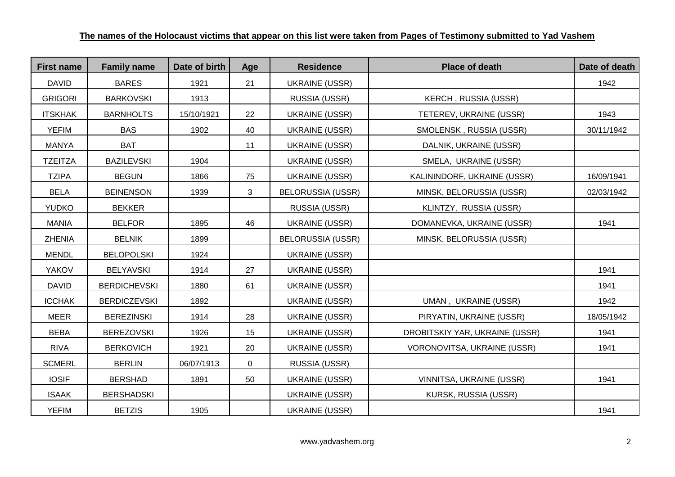| <b>First name</b> | <b>Family name</b>  | Date of birth | Age            | <b>Residence</b>         | <b>Place of death</b>          | Date of death |
|-------------------|---------------------|---------------|----------------|--------------------------|--------------------------------|---------------|
| <b>DAVID</b>      | <b>BARES</b>        | 1921          | 21             | <b>UKRAINE (USSR)</b>    |                                | 1942          |
| <b>GRIGORI</b>    | <b>BARKOVSKI</b>    | 1913          |                | RUSSIA (USSR)            | KERCH, RUSSIA (USSR)           |               |
| <b>ITSKHAK</b>    | <b>BARNHOLTS</b>    | 15/10/1921    | 22             | <b>UKRAINE (USSR)</b>    | TETEREV, UKRAINE (USSR)        | 1943          |
| <b>YEFIM</b>      | <b>BAS</b>          | 1902          | 40             | <b>UKRAINE (USSR)</b>    | SMOLENSK, RUSSIA (USSR)        | 30/11/1942    |
| <b>MANYA</b>      | <b>BAT</b>          |               | 11             | <b>UKRAINE (USSR)</b>    | DALNIK, UKRAINE (USSR)         |               |
| <b>TZEITZA</b>    | <b>BAZILEVSKI</b>   | 1904          |                | <b>UKRAINE (USSR)</b>    | SMELA, UKRAINE (USSR)          |               |
| <b>TZIPA</b>      | <b>BEGUN</b>        | 1866          | 75             | <b>UKRAINE (USSR)</b>    | KALININDORF, UKRAINE (USSR)    | 16/09/1941    |
| <b>BELA</b>       | <b>BEINENSON</b>    | 1939          | 3              | <b>BELORUSSIA (USSR)</b> | MINSK, BELORUSSIA (USSR)       | 02/03/1942    |
| <b>YUDKO</b>      | <b>BEKKER</b>       |               |                | RUSSIA (USSR)            | KLINTZY, RUSSIA (USSR)         |               |
| <b>MANIA</b>      | <b>BELFOR</b>       | 1895          | 46             | <b>UKRAINE (USSR)</b>    | DOMANEVKA, UKRAINE (USSR)      | 1941          |
| <b>ZHENIA</b>     | <b>BELNIK</b>       | 1899          |                | <b>BELORUSSIA (USSR)</b> | MINSK, BELORUSSIA (USSR)       |               |
| <b>MENDL</b>      | <b>BELOPOLSKI</b>   | 1924          |                | <b>UKRAINE (USSR)</b>    |                                |               |
| <b>YAKOV</b>      | <b>BELYAVSKI</b>    | 1914          | 27             | <b>UKRAINE (USSR)</b>    |                                | 1941          |
| <b>DAVID</b>      | <b>BERDICHEVSKI</b> | 1880          | 61             | <b>UKRAINE (USSR)</b>    |                                | 1941          |
| <b>ICCHAK</b>     | <b>BERDICZEVSKI</b> | 1892          |                | <b>UKRAINE (USSR)</b>    | UMAN, UKRAINE (USSR)           | 1942          |
| <b>MEER</b>       | <b>BEREZINSKI</b>   | 1914          | 28             | <b>UKRAINE (USSR)</b>    | PIRYATIN, UKRAINE (USSR)       | 18/05/1942    |
| <b>BEBA</b>       | <b>BEREZOVSKI</b>   | 1926          | 15             | <b>UKRAINE (USSR)</b>    | DROBITSKIY YAR, UKRAINE (USSR) | 1941          |
| <b>RIVA</b>       | <b>BERKOVICH</b>    | 1921          | 20             | <b>UKRAINE (USSR)</b>    | VORONOVITSA, UKRAINE (USSR)    | 1941          |
| <b>SCMERL</b>     | <b>BERLIN</b>       | 06/07/1913    | $\overline{0}$ | RUSSIA (USSR)            |                                |               |
| <b>IOSIF</b>      | <b>BERSHAD</b>      | 1891          | 50             | <b>UKRAINE (USSR)</b>    | VINNITSA, UKRAINE (USSR)       | 1941          |
| <b>ISAAK</b>      | <b>BERSHADSKI</b>   |               |                | <b>UKRAINE (USSR)</b>    | KURSK, RUSSIA (USSR)           |               |
| <b>YEFIM</b>      | <b>BETZIS</b>       | 1905          |                | <b>UKRAINE (USSR)</b>    |                                | 1941          |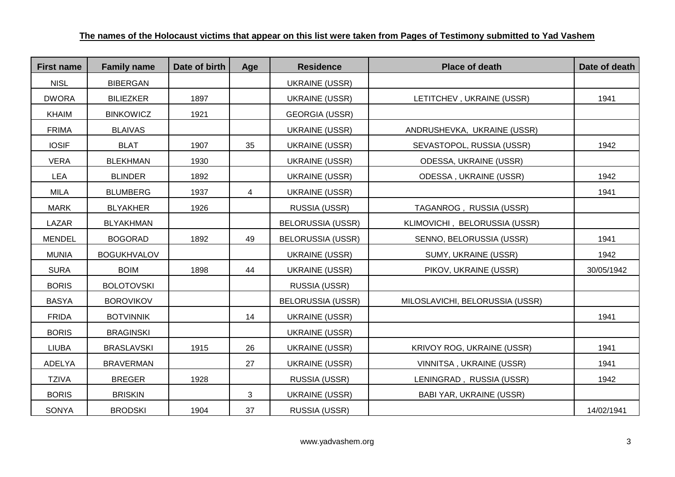| <b>First name</b> | <b>Family name</b> | Date of birth | Age | <b>Residence</b>         | <b>Place of death</b>           | Date of death |
|-------------------|--------------------|---------------|-----|--------------------------|---------------------------------|---------------|
| <b>NISL</b>       | <b>BIBERGAN</b>    |               |     | <b>UKRAINE (USSR)</b>    |                                 |               |
| <b>DWORA</b>      | <b>BILIEZKER</b>   | 1897          |     | <b>UKRAINE (USSR)</b>    | LETITCHEV, UKRAINE (USSR)       | 1941          |
| <b>KHAIM</b>      | <b>BINKOWICZ</b>   | 1921          |     | <b>GEORGIA (USSR)</b>    |                                 |               |
| <b>FRIMA</b>      | <b>BLAIVAS</b>     |               |     | <b>UKRAINE (USSR)</b>    | ANDRUSHEVKA, UKRAINE (USSR)     |               |
| <b>IOSIF</b>      | <b>BLAT</b>        | 1907          | 35  | <b>UKRAINE (USSR)</b>    | SEVASTOPOL, RUSSIA (USSR)       | 1942          |
| <b>VERA</b>       | <b>BLEKHMAN</b>    | 1930          |     | UKRAINE (USSR)           | ODESSA, UKRAINE (USSR)          |               |
| <b>LEA</b>        | <b>BLINDER</b>     | 1892          |     | <b>UKRAINE (USSR)</b>    | ODESSA, UKRAINE (USSR)          | 1942          |
| MILA              | <b>BLUMBERG</b>    | 1937          | 4   | <b>UKRAINE (USSR)</b>    |                                 | 1941          |
| <b>MARK</b>       | <b>BLYAKHER</b>    | 1926          |     | RUSSIA (USSR)            | TAGANROG, RUSSIA (USSR)         |               |
| LAZAR             | <b>BLYAKHMAN</b>   |               |     | <b>BELORUSSIA (USSR)</b> | KLIMOVICHI, BELORUSSIA (USSR)   |               |
| <b>MENDEL</b>     | <b>BOGORAD</b>     | 1892          | 49  | <b>BELORUSSIA (USSR)</b> | SENNO, BELORUSSIA (USSR)        | 1941          |
| <b>MUNIA</b>      | <b>BOGUKHVALOV</b> |               |     | <b>UKRAINE (USSR)</b>    | SUMY, UKRAINE (USSR)            | 1942          |
| <b>SURA</b>       | <b>BOIM</b>        | 1898          | 44  | <b>UKRAINE (USSR)</b>    | PIKOV, UKRAINE (USSR)           | 30/05/1942    |
| <b>BORIS</b>      | <b>BOLOTOVSKI</b>  |               |     | RUSSIA (USSR)            |                                 |               |
| <b>BASYA</b>      | <b>BOROVIKOV</b>   |               |     | <b>BELORUSSIA (USSR)</b> | MILOSLAVICHI, BELORUSSIA (USSR) |               |
| <b>FRIDA</b>      | <b>BOTVINNIK</b>   |               | 14  | <b>UKRAINE (USSR)</b>    |                                 | 1941          |
| <b>BORIS</b>      | <b>BRAGINSKI</b>   |               |     | <b>UKRAINE (USSR)</b>    |                                 |               |
| <b>LIUBA</b>      | <b>BRASLAVSKI</b>  | 1915          | 26  | <b>UKRAINE (USSR)</b>    | KRIVOY ROG, UKRAINE (USSR)      | 1941          |
| <b>ADELYA</b>     | <b>BRAVERMAN</b>   |               | 27  | <b>UKRAINE (USSR)</b>    | VINNITSA, UKRAINE (USSR)        | 1941          |
| <b>TZIVA</b>      | <b>BREGER</b>      | 1928          |     | RUSSIA (USSR)            | LENINGRAD, RUSSIA (USSR)        | 1942          |
| <b>BORIS</b>      | <b>BRISKIN</b>     |               | 3   | <b>UKRAINE (USSR)</b>    | BABI YAR, UKRAINE (USSR)        |               |
| <b>SONYA</b>      | <b>BRODSKI</b>     | 1904          | 37  | RUSSIA (USSR)            |                                 | 14/02/1941    |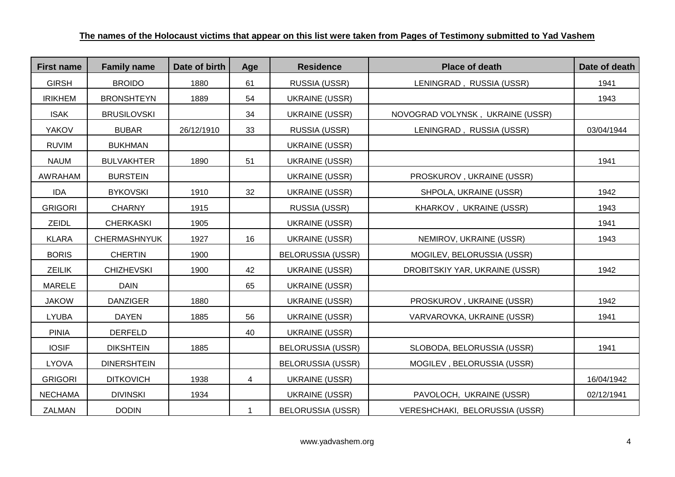| <b>First name</b> | <b>Family name</b>  | Date of birth | Age | <b>Residence</b>         | <b>Place of death</b>            | Date of death |
|-------------------|---------------------|---------------|-----|--------------------------|----------------------------------|---------------|
| <b>GIRSH</b>      | <b>BROIDO</b>       | 1880          | 61  | RUSSIA (USSR)            | LENINGRAD, RUSSIA (USSR)         | 1941          |
| <b>IRIKHEM</b>    | <b>BRONSHTEYN</b>   | 1889          | 54  | <b>UKRAINE (USSR)</b>    |                                  | 1943          |
| <b>ISAK</b>       | <b>BRUSILOVSKI</b>  |               | 34  | <b>UKRAINE (USSR)</b>    | NOVOGRAD VOLYNSK, UKRAINE (USSR) |               |
| <b>YAKOV</b>      | <b>BUBAR</b>        | 26/12/1910    | 33  | RUSSIA (USSR)            | LENINGRAD, RUSSIA (USSR)         | 03/04/1944    |
| <b>RUVIM</b>      | <b>BUKHMAN</b>      |               |     | <b>UKRAINE (USSR)</b>    |                                  |               |
| <b>NAUM</b>       | <b>BULVAKHTER</b>   | 1890          | 51  | UKRAINE (USSR)           |                                  | 1941          |
| AWRAHAM           | <b>BURSTEIN</b>     |               |     | <b>UKRAINE (USSR)</b>    | PROSKUROV, UKRAINE (USSR)        |               |
| <b>IDA</b>        | <b>BYKOVSKI</b>     | 1910          | 32  | <b>UKRAINE (USSR)</b>    | SHPOLA, UKRAINE (USSR)           | 1942          |
| <b>GRIGORI</b>    | <b>CHARNY</b>       | 1915          |     | RUSSIA (USSR)            | KHARKOV, UKRAINE (USSR)          | 1943          |
| ZEIDL             | <b>CHERKASKI</b>    | 1905          |     | UKRAINE (USSR)           |                                  | 1941          |
| <b>KLARA</b>      | <b>CHERMASHNYUK</b> | 1927          | 16  | <b>UKRAINE (USSR)</b>    | NEMIROV, UKRAINE (USSR)          | 1943          |
| <b>BORIS</b>      | <b>CHERTIN</b>      | 1900          |     | <b>BELORUSSIA (USSR)</b> | MOGILEV, BELORUSSIA (USSR)       |               |
| <b>ZEILIK</b>     | <b>CHIZHEVSKI</b>   | 1900          | 42  | <b>UKRAINE (USSR)</b>    | DROBITSKIY YAR, UKRAINE (USSR)   | 1942          |
| <b>MARELE</b>     | <b>DAIN</b>         |               | 65  | <b>UKRAINE (USSR)</b>    |                                  |               |
| <b>JAKOW</b>      | <b>DANZIGER</b>     | 1880          |     | <b>UKRAINE (USSR)</b>    | PROSKUROV, UKRAINE (USSR)        | 1942          |
| <b>LYUBA</b>      | <b>DAYEN</b>        | 1885          | 56  | <b>UKRAINE (USSR)</b>    | VARVAROVKA, UKRAINE (USSR)       | 1941          |
| <b>PINIA</b>      | <b>DERFELD</b>      |               | 40  | <b>UKRAINE (USSR)</b>    |                                  |               |
| <b>IOSIF</b>      | <b>DIKSHTEIN</b>    | 1885          |     | <b>BELORUSSIA (USSR)</b> | SLOBODA, BELORUSSIA (USSR)       | 1941          |
| <b>LYOVA</b>      | <b>DINERSHTEIN</b>  |               |     | <b>BELORUSSIA (USSR)</b> | MOGILEV, BELORUSSIA (USSR)       |               |
| <b>GRIGORI</b>    | <b>DITKOVICH</b>    | 1938          | 4   | <b>UKRAINE (USSR)</b>    |                                  | 16/04/1942    |
| <b>NECHAMA</b>    | <b>DIVINSKI</b>     | 1934          |     | <b>UKRAINE (USSR)</b>    | PAVOLOCH, UKRAINE (USSR)         | 02/12/1941    |
| ZALMAN            | <b>DODIN</b>        |               |     | <b>BELORUSSIA (USSR)</b> | VERESHCHAKI, BELORUSSIA (USSR)   |               |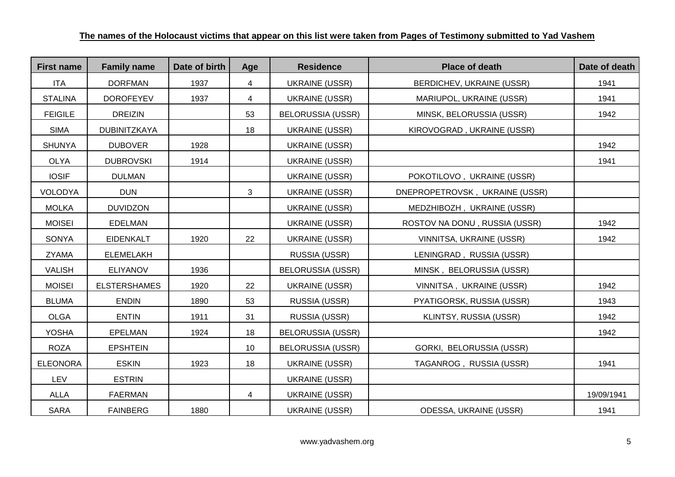| <b>First name</b> | <b>Family name</b>  | Date of birth | Age            | <b>Residence</b>         | <b>Place of death</b>          | Date of death |
|-------------------|---------------------|---------------|----------------|--------------------------|--------------------------------|---------------|
| <b>ITA</b>        | <b>DORFMAN</b>      | 1937          | 4              | <b>UKRAINE (USSR)</b>    | BERDICHEV, UKRAINE (USSR)      | 1941          |
| <b>STALINA</b>    | <b>DOROFEYEV</b>    | 1937          | $\overline{4}$ | <b>UKRAINE (USSR)</b>    | MARIUPOL, UKRAINE (USSR)       | 1941          |
| <b>FEIGILE</b>    | <b>DREIZIN</b>      |               | 53             | <b>BELORUSSIA (USSR)</b> | MINSK, BELORUSSIA (USSR)       | 1942          |
| <b>SIMA</b>       | DUBINITZKAYA        |               | 18             | <b>UKRAINE (USSR)</b>    | KIROVOGRAD, UKRAINE (USSR)     |               |
| <b>SHUNYA</b>     | <b>DUBOVER</b>      | 1928          |                | <b>UKRAINE (USSR)</b>    |                                | 1942          |
| <b>OLYA</b>       | <b>DUBROVSKI</b>    | 1914          |                | <b>UKRAINE (USSR)</b>    |                                | 1941          |
| <b>IOSIF</b>      | <b>DULMAN</b>       |               |                | <b>UKRAINE (USSR)</b>    | POKOTILOVO, UKRAINE (USSR)     |               |
| <b>VOLODYA</b>    | <b>DUN</b>          |               | 3              | <b>UKRAINE (USSR)</b>    | DNEPROPETROVSK, UKRAINE (USSR) |               |
| <b>MOLKA</b>      | <b>DUVIDZON</b>     |               |                | <b>UKRAINE (USSR)</b>    | MEDZHIBOZH, UKRAINE (USSR)     |               |
| <b>MOISEI</b>     | <b>EDELMAN</b>      |               |                | <b>UKRAINE (USSR)</b>    | ROSTOV NA DONU, RUSSIA (USSR)  | 1942          |
| <b>SONYA</b>      | <b>EIDENKALT</b>    | 1920          | 22             | <b>UKRAINE (USSR)</b>    | VINNITSA, UKRAINE (USSR)       | 1942          |
| <b>ZYAMA</b>      | <b>ELEMELAKH</b>    |               |                | RUSSIA (USSR)            | LENINGRAD, RUSSIA (USSR)       |               |
| <b>VALISH</b>     | <b>ELIYANOV</b>     | 1936          |                | <b>BELORUSSIA (USSR)</b> | MINSK, BELORUSSIA (USSR)       |               |
| <b>MOISEI</b>     | <b>ELSTERSHAMES</b> | 1920          | 22             | <b>UKRAINE (USSR)</b>    | VINNITSA, UKRAINE (USSR)       | 1942          |
| <b>BLUMA</b>      | <b>ENDIN</b>        | 1890          | 53             | RUSSIA (USSR)            | PYATIGORSK, RUSSIA (USSR)      | 1943          |
| <b>OLGA</b>       | <b>ENTIN</b>        | 1911          | 31             | RUSSIA (USSR)            | KLINTSY, RUSSIA (USSR)         | 1942          |
| <b>YOSHA</b>      | <b>EPELMAN</b>      | 1924          | 18             | <b>BELORUSSIA (USSR)</b> |                                | 1942          |
| <b>ROZA</b>       | <b>EPSHTEIN</b>     |               | 10             | <b>BELORUSSIA (USSR)</b> | GORKI, BELORUSSIA (USSR)       |               |
| <b>ELEONORA</b>   | <b>ESKIN</b>        | 1923          | 18             | <b>UKRAINE (USSR)</b>    | TAGANROG, RUSSIA (USSR)        | 1941          |
| LEV               | <b>ESTRIN</b>       |               |                | <b>UKRAINE (USSR)</b>    |                                |               |
| <b>ALLA</b>       | <b>FAERMAN</b>      |               | 4              | <b>UKRAINE (USSR)</b>    |                                | 19/09/1941    |
| <b>SARA</b>       | <b>FAINBERG</b>     | 1880          |                | <b>UKRAINE (USSR)</b>    | ODESSA, UKRAINE (USSR)         | 1941          |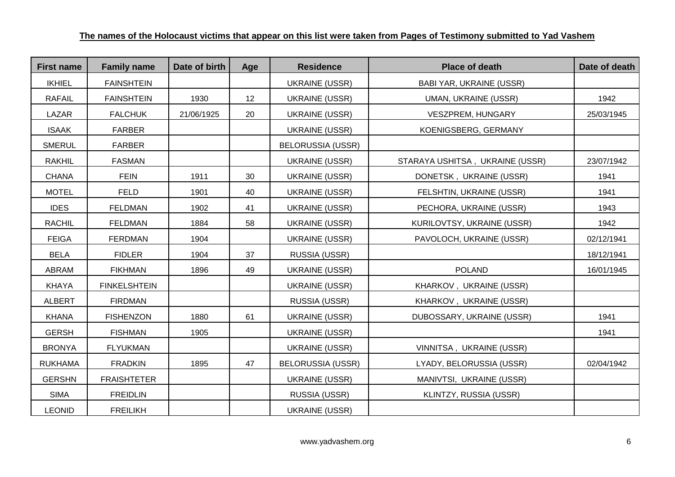| <b>First name</b> | <b>Family name</b>  | Date of birth | Age | <b>Residence</b>         | <b>Place of death</b>           | Date of death |
|-------------------|---------------------|---------------|-----|--------------------------|---------------------------------|---------------|
| <b>IKHIEL</b>     | <b>FAINSHTEIN</b>   |               |     | <b>UKRAINE (USSR)</b>    | <b>BABI YAR, UKRAINE (USSR)</b> |               |
| <b>RAFAIL</b>     | <b>FAINSHTEIN</b>   | 1930          | 12  | <b>UKRAINE (USSR)</b>    | <b>UMAN, UKRAINE (USSR)</b>     | 1942          |
| LAZAR             | <b>FALCHUK</b>      | 21/06/1925    | 20  | <b>UKRAINE (USSR)</b>    | VESZPREM, HUNGARY               | 25/03/1945    |
| <b>ISAAK</b>      | <b>FARBER</b>       |               |     | UKRAINE (USSR)           | KOENIGSBERG, GERMANY            |               |
| <b>SMERUL</b>     | <b>FARBER</b>       |               |     | <b>BELORUSSIA (USSR)</b> |                                 |               |
| <b>RAKHIL</b>     | <b>FASMAN</b>       |               |     | <b>UKRAINE (USSR)</b>    | STARAYA USHITSA, UKRAINE (USSR) | 23/07/1942    |
| <b>CHANA</b>      | <b>FEIN</b>         | 1911          | 30  | <b>UKRAINE (USSR)</b>    | DONETSK, UKRAINE (USSR)         | 1941          |
| <b>MOTEL</b>      | <b>FELD</b>         | 1901          | 40  | <b>UKRAINE (USSR)</b>    | FELSHTIN, UKRAINE (USSR)        | 1941          |
| <b>IDES</b>       | <b>FELDMAN</b>      | 1902          | 41  | <b>UKRAINE (USSR)</b>    | PECHORA, UKRAINE (USSR)         | 1943          |
| <b>RACHIL</b>     | <b>FELDMAN</b>      | 1884          | 58  | <b>UKRAINE (USSR)</b>    | KURILOVTSY, UKRAINE (USSR)      | 1942          |
| <b>FEIGA</b>      | <b>FERDMAN</b>      | 1904          |     | <b>UKRAINE (USSR)</b>    | PAVOLOCH, UKRAINE (USSR)        | 02/12/1941    |
| <b>BELA</b>       | <b>FIDLER</b>       | 1904          | 37  | RUSSIA (USSR)            |                                 | 18/12/1941    |
| <b>ABRAM</b>      | <b>FIKHMAN</b>      | 1896          | 49  | <b>UKRAINE (USSR)</b>    | <b>POLAND</b>                   | 16/01/1945    |
| <b>KHAYA</b>      | <b>FINKELSHTEIN</b> |               |     | <b>UKRAINE (USSR)</b>    | KHARKOV, UKRAINE (USSR)         |               |
| <b>ALBERT</b>     | <b>FIRDMAN</b>      |               |     | RUSSIA (USSR)            | KHARKOV, UKRAINE (USSR)         |               |
| <b>KHANA</b>      | <b>FISHENZON</b>    | 1880          | 61  | <b>UKRAINE (USSR)</b>    | DUBOSSARY, UKRAINE (USSR)       | 1941          |
| <b>GERSH</b>      | <b>FISHMAN</b>      | 1905          |     | <b>UKRAINE (USSR)</b>    |                                 | 1941          |
| <b>BRONYA</b>     | <b>FLYUKMAN</b>     |               |     | <b>UKRAINE (USSR)</b>    | VINNITSA, UKRAINE (USSR)        |               |
| <b>RUKHAMA</b>    | <b>FRADKIN</b>      | 1895          | 47  | <b>BELORUSSIA (USSR)</b> | LYADY, BELORUSSIA (USSR)        | 02/04/1942    |
| <b>GERSHN</b>     | <b>FRAISHTETER</b>  |               |     | <b>UKRAINE (USSR)</b>    | MANIVTSI, UKRAINE (USSR)        |               |
| <b>SIMA</b>       | <b>FREIDLIN</b>     |               |     | RUSSIA (USSR)            | KLINTZY, RUSSIA (USSR)          |               |
| <b>LEONID</b>     | <b>FREILIKH</b>     |               |     | <b>UKRAINE (USSR)</b>    |                                 |               |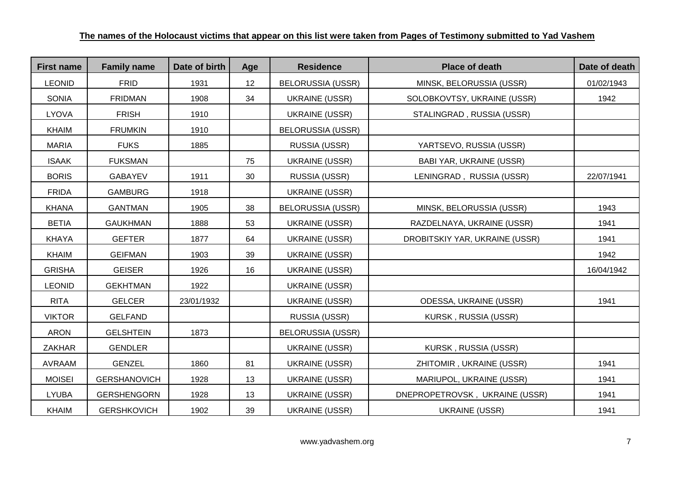| <b>First name</b> | <b>Family name</b>  | Date of birth | Age | <b>Residence</b>         | <b>Place of death</b>          | Date of death |
|-------------------|---------------------|---------------|-----|--------------------------|--------------------------------|---------------|
| <b>LEONID</b>     | <b>FRID</b>         | 1931          | 12  | <b>BELORUSSIA (USSR)</b> | MINSK, BELORUSSIA (USSR)       | 01/02/1943    |
| <b>SONIA</b>      | <b>FRIDMAN</b>      | 1908          | 34  | <b>UKRAINE (USSR)</b>    | SOLOBKOVTSY, UKRAINE (USSR)    | 1942          |
| <b>LYOVA</b>      | <b>FRISH</b>        | 1910          |     | <b>UKRAINE (USSR)</b>    | STALINGRAD, RUSSIA (USSR)      |               |
| <b>KHAIM</b>      | <b>FRUMKIN</b>      | 1910          |     | <b>BELORUSSIA (USSR)</b> |                                |               |
| <b>MARIA</b>      | <b>FUKS</b>         | 1885          |     | RUSSIA (USSR)            | YARTSEVO, RUSSIA (USSR)        |               |
| <b>ISAAK</b>      | <b>FUKSMAN</b>      |               | 75  | <b>UKRAINE (USSR)</b>    | BABI YAR, UKRAINE (USSR)       |               |
| <b>BORIS</b>      | <b>GABAYEV</b>      | 1911          | 30  | RUSSIA (USSR)            | LENINGRAD, RUSSIA (USSR)       | 22/07/1941    |
| <b>FRIDA</b>      | <b>GAMBURG</b>      | 1918          |     | UKRAINE (USSR)           |                                |               |
| <b>KHANA</b>      | <b>GANTMAN</b>      | 1905          | 38  | <b>BELORUSSIA (USSR)</b> | MINSK, BELORUSSIA (USSR)       | 1943          |
| <b>BETIA</b>      | <b>GAUKHMAN</b>     | 1888          | 53  | <b>UKRAINE (USSR)</b>    | RAZDELNAYA, UKRAINE (USSR)     | 1941          |
| <b>KHAYA</b>      | <b>GEFTER</b>       | 1877          | 64  | <b>UKRAINE (USSR)</b>    | DROBITSKIY YAR, UKRAINE (USSR) | 1941          |
| <b>KHAIM</b>      | <b>GEIFMAN</b>      | 1903          | 39  | <b>UKRAINE (USSR)</b>    |                                | 1942          |
| <b>GRISHA</b>     | <b>GEISER</b>       | 1926          | 16  | <b>UKRAINE (USSR)</b>    |                                | 16/04/1942    |
| <b>LEONID</b>     | <b>GEKHTMAN</b>     | 1922          |     | <b>UKRAINE (USSR)</b>    |                                |               |
| <b>RITA</b>       | <b>GELCER</b>       | 23/01/1932    |     | <b>UKRAINE (USSR)</b>    | <b>ODESSA, UKRAINE (USSR)</b>  | 1941          |
| <b>VIKTOR</b>     | <b>GELFAND</b>      |               |     | RUSSIA (USSR)            | KURSK, RUSSIA (USSR)           |               |
| <b>ARON</b>       | <b>GELSHTEIN</b>    | 1873          |     | <b>BELORUSSIA (USSR)</b> |                                |               |
| <b>ZAKHAR</b>     | <b>GENDLER</b>      |               |     | <b>UKRAINE (USSR)</b>    | KURSK, RUSSIA (USSR)           |               |
| AVRAAM            | <b>GENZEL</b>       | 1860          | 81  | <b>UKRAINE (USSR)</b>    | ZHITOMIR, UKRAINE (USSR)       | 1941          |
| <b>MOISEI</b>     | <b>GERSHANOVICH</b> | 1928          | 13  | <b>UKRAINE (USSR)</b>    | MARIUPOL, UKRAINE (USSR)       | 1941          |
| <b>LYUBA</b>      | <b>GERSHENGORN</b>  | 1928          | 13  | <b>UKRAINE (USSR)</b>    | DNEPROPETROVSK, UKRAINE (USSR) | 1941          |
| <b>KHAIM</b>      | <b>GERSHKOVICH</b>  | 1902          | 39  | <b>UKRAINE (USSR)</b>    | <b>UKRAINE (USSR)</b>          | 1941          |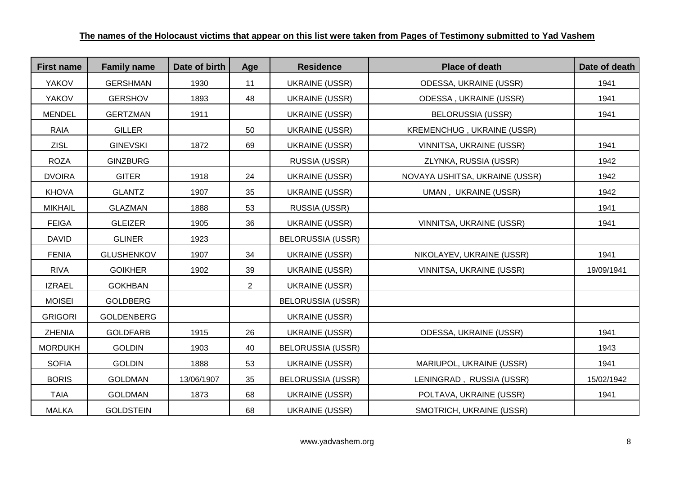| <b>First name</b> | <b>Family name</b> | Date of birth | Age            | <b>Residence</b>         | <b>Place of death</b>             | Date of death |
|-------------------|--------------------|---------------|----------------|--------------------------|-----------------------------------|---------------|
| <b>YAKOV</b>      | <b>GERSHMAN</b>    | 1930          | 11             | <b>UKRAINE (USSR)</b>    | ODESSA, UKRAINE (USSR)            | 1941          |
| <b>YAKOV</b>      | <b>GERSHOV</b>     | 1893          | 48             | <b>UKRAINE (USSR)</b>    | ODESSA, UKRAINE (USSR)            | 1941          |
| <b>MENDEL</b>     | <b>GERTZMAN</b>    | 1911          |                | <b>UKRAINE (USSR)</b>    | <b>BELORUSSIA (USSR)</b>          | 1941          |
| RAIA              | <b>GILLER</b>      |               | 50             | <b>UKRAINE (USSR)</b>    | <b>KREMENCHUG, UKRAINE (USSR)</b> |               |
| <b>ZISL</b>       | <b>GINEVSKI</b>    | 1872          | 69             | <b>UKRAINE (USSR)</b>    | VINNITSA, UKRAINE (USSR)          | 1941          |
| <b>ROZA</b>       | <b>GINZBURG</b>    |               |                | RUSSIA (USSR)            | ZLYNKA, RUSSIA (USSR)             | 1942          |
| <b>DVOIRA</b>     | <b>GITER</b>       | 1918          | 24             | <b>UKRAINE (USSR)</b>    | NOVAYA USHITSA, UKRAINE (USSR)    | 1942          |
| <b>KHOVA</b>      | <b>GLANTZ</b>      | 1907          | 35             | UKRAINE (USSR)           | UMAN, UKRAINE (USSR)              | 1942          |
| <b>MIKHAIL</b>    | <b>GLAZMAN</b>     | 1888          | 53             | RUSSIA (USSR)            |                                   | 1941          |
| <b>FEIGA</b>      | <b>GLEIZER</b>     | 1905          | 36             | <b>UKRAINE (USSR)</b>    | VINNITSA, UKRAINE (USSR)          | 1941          |
| <b>DAVID</b>      | <b>GLINER</b>      | 1923          |                | <b>BELORUSSIA (USSR)</b> |                                   |               |
| <b>FENIA</b>      | <b>GLUSHENKOV</b>  | 1907          | 34             | <b>UKRAINE (USSR)</b>    | NIKOLAYEV, UKRAINE (USSR)         | 1941          |
| <b>RIVA</b>       | <b>GOIKHER</b>     | 1902          | 39             | <b>UKRAINE (USSR)</b>    | VINNITSA, UKRAINE (USSR)          | 19/09/1941    |
| <b>IZRAEL</b>     | <b>GOKHBAN</b>     |               | $\overline{2}$ | <b>UKRAINE (USSR)</b>    |                                   |               |
| <b>MOISEI</b>     | <b>GOLDBERG</b>    |               |                | <b>BELORUSSIA (USSR)</b> |                                   |               |
| <b>GRIGORI</b>    | <b>GOLDENBERG</b>  |               |                | <b>UKRAINE (USSR)</b>    |                                   |               |
| <b>ZHENIA</b>     | <b>GOLDFARB</b>    | 1915          | 26             | <b>UKRAINE (USSR)</b>    | ODESSA, UKRAINE (USSR)            | 1941          |
| <b>MORDUKH</b>    | <b>GOLDIN</b>      | 1903          | 40             | <b>BELORUSSIA (USSR)</b> |                                   | 1943          |
| <b>SOFIA</b>      | <b>GOLDIN</b>      | 1888          | 53             | <b>UKRAINE (USSR)</b>    | MARIUPOL, UKRAINE (USSR)          | 1941          |
| <b>BORIS</b>      | <b>GOLDMAN</b>     | 13/06/1907    | 35             | <b>BELORUSSIA (USSR)</b> | LENINGRAD, RUSSIA (USSR)          | 15/02/1942    |
| <b>TAIA</b>       | <b>GOLDMAN</b>     | 1873          | 68             | <b>UKRAINE (USSR)</b>    | POLTAVA, UKRAINE (USSR)           | 1941          |
| <b>MALKA</b>      | <b>GOLDSTEIN</b>   |               | 68             | <b>UKRAINE (USSR)</b>    | SMOTRICH, UKRAINE (USSR)          |               |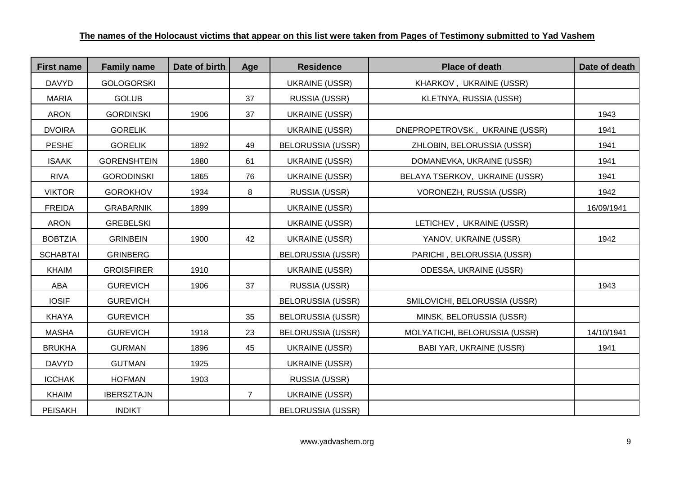| <b>First name</b> | <b>Family name</b> | Date of birth | Age            | <b>Residence</b>         | <b>Place of death</b>          | Date of death |
|-------------------|--------------------|---------------|----------------|--------------------------|--------------------------------|---------------|
| <b>DAVYD</b>      | <b>GOLOGORSKI</b>  |               |                | <b>UKRAINE (USSR)</b>    | KHARKOV, UKRAINE (USSR)        |               |
| <b>MARIA</b>      | <b>GOLUB</b>       |               | 37             | RUSSIA (USSR)            | KLETNYA, RUSSIA (USSR)         |               |
| <b>ARON</b>       | <b>GORDINSKI</b>   | 1906          | 37             | <b>UKRAINE (USSR)</b>    |                                | 1943          |
| <b>DVOIRA</b>     | <b>GORELIK</b>     |               |                | <b>UKRAINE (USSR)</b>    | DNEPROPETROVSK, UKRAINE (USSR) | 1941          |
| <b>PESHE</b>      | <b>GORELIK</b>     | 1892          | 49             | <b>BELORUSSIA (USSR)</b> | ZHLOBIN, BELORUSSIA (USSR)     | 1941          |
| <b>ISAAK</b>      | <b>GORENSHTEIN</b> | 1880          | 61             | <b>UKRAINE (USSR)</b>    | DOMANEVKA, UKRAINE (USSR)      | 1941          |
| <b>RIVA</b>       | <b>GORODINSKI</b>  | 1865          | 76             | <b>UKRAINE (USSR)</b>    | BELAYA TSERKOV, UKRAINE (USSR) | 1941          |
| <b>VIKTOR</b>     | <b>GOROKHOV</b>    | 1934          | 8              | RUSSIA (USSR)            | VORONEZH, RUSSIA (USSR)        | 1942          |
| <b>FREIDA</b>     | <b>GRABARNIK</b>   | 1899          |                | <b>UKRAINE (USSR)</b>    |                                | 16/09/1941    |
| <b>ARON</b>       | <b>GREBELSKI</b>   |               |                | <b>UKRAINE (USSR)</b>    | LETICHEV, UKRAINE (USSR)       |               |
| <b>BOBTZIA</b>    | <b>GRINBEIN</b>    | 1900          | 42             | <b>UKRAINE (USSR)</b>    | YANOV, UKRAINE (USSR)          | 1942          |
| <b>SCHABTAI</b>   | <b>GRINBERG</b>    |               |                | <b>BELORUSSIA (USSR)</b> | PARICHI, BELORUSSIA (USSR)     |               |
| <b>KHAIM</b>      | <b>GROISFIRER</b>  | 1910          |                | <b>UKRAINE (USSR)</b>    | ODESSA, UKRAINE (USSR)         |               |
| ABA               | <b>GUREVICH</b>    | 1906          | 37             | RUSSIA (USSR)            |                                | 1943          |
| <b>IOSIF</b>      | <b>GUREVICH</b>    |               |                | <b>BELORUSSIA (USSR)</b> | SMILOVICHI, BELORUSSIA (USSR)  |               |
| <b>KHAYA</b>      | <b>GUREVICH</b>    |               | 35             | <b>BELORUSSIA (USSR)</b> | MINSK, BELORUSSIA (USSR)       |               |
| <b>MASHA</b>      | <b>GUREVICH</b>    | 1918          | 23             | <b>BELORUSSIA (USSR)</b> | MOLYATICHI, BELORUSSIA (USSR)  | 14/10/1941    |
| <b>BRUKHA</b>     | <b>GURMAN</b>      | 1896          | 45             | <b>UKRAINE (USSR)</b>    | BABI YAR, UKRAINE (USSR)       | 1941          |
| <b>DAVYD</b>      | <b>GUTMAN</b>      | 1925          |                | <b>UKRAINE (USSR)</b>    |                                |               |
| <b>ICCHAK</b>     | <b>HOFMAN</b>      | 1903          |                | RUSSIA (USSR)            |                                |               |
| <b>KHAIM</b>      | <b>IBERSZTAJN</b>  |               | $\overline{7}$ | <b>UKRAINE (USSR)</b>    |                                |               |
| <b>PEISAKH</b>    | <b>INDIKT</b>      |               |                | <b>BELORUSSIA (USSR)</b> |                                |               |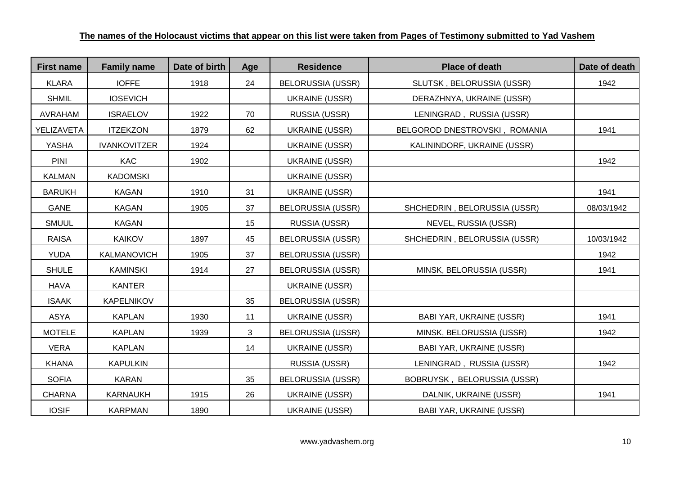| <b>First name</b> | <b>Family name</b>  | Date of birth | Age | <b>Residence</b>         | <b>Place of death</b>           | Date of death |
|-------------------|---------------------|---------------|-----|--------------------------|---------------------------------|---------------|
| <b>KLARA</b>      | <b>IOFFE</b>        | 1918          | 24  | <b>BELORUSSIA (USSR)</b> | SLUTSK, BELORUSSIA (USSR)       | 1942          |
| <b>SHMIL</b>      | <b>IOSEVICH</b>     |               |     | <b>UKRAINE (USSR)</b>    | DERAZHNYA, UKRAINE (USSR)       |               |
| AVRAHAM           | <b>ISRAELOV</b>     | 1922          | 70  | RUSSIA (USSR)            | LENINGRAD, RUSSIA (USSR)        |               |
| YELIZAVETA        | <b>ITZEKZON</b>     | 1879          | 62  | <b>UKRAINE (USSR)</b>    | BELGOROD DNESTROVSKI, ROMANIA   | 1941          |
| YASHA             | <b>IVANKOVITZER</b> | 1924          |     | <b>UKRAINE (USSR)</b>    | KALININDORF, UKRAINE (USSR)     |               |
| <b>PINI</b>       | <b>KAC</b>          | 1902          |     | <b>UKRAINE (USSR)</b>    |                                 | 1942          |
| <b>KALMAN</b>     | <b>KADOMSKI</b>     |               |     | <b>UKRAINE (USSR)</b>    |                                 |               |
| <b>BARUKH</b>     | <b>KAGAN</b>        | 1910          | 31  | UKRAINE (USSR)           |                                 | 1941          |
| GANE              | <b>KAGAN</b>        | 1905          | 37  | <b>BELORUSSIA (USSR)</b> | SHCHEDRIN, BELORUSSIA (USSR)    | 08/03/1942    |
| <b>SMUUL</b>      | <b>KAGAN</b>        |               | 15  | RUSSIA (USSR)            | NEVEL, RUSSIA (USSR)            |               |
| <b>RAISA</b>      | <b>KAIKOV</b>       | 1897          | 45  | <b>BELORUSSIA (USSR)</b> | SHCHEDRIN, BELORUSSIA (USSR)    | 10/03/1942    |
| <b>YUDA</b>       | KALMANOVICH         | 1905          | 37  | <b>BELORUSSIA (USSR)</b> |                                 | 1942          |
| <b>SHULE</b>      | <b>KAMINSKI</b>     | 1914          | 27  | <b>BELORUSSIA (USSR)</b> | MINSK, BELORUSSIA (USSR)        | 1941          |
| <b>HAVA</b>       | <b>KANTER</b>       |               |     | <b>UKRAINE (USSR)</b>    |                                 |               |
| <b>ISAAK</b>      | <b>KAPELNIKOV</b>   |               | 35  | <b>BELORUSSIA (USSR)</b> |                                 |               |
| ASYA              | <b>KAPLAN</b>       | 1930          | 11  | <b>UKRAINE (USSR)</b>    | <b>BABI YAR, UKRAINE (USSR)</b> | 1941          |
| <b>MOTELE</b>     | <b>KAPLAN</b>       | 1939          | 3   | <b>BELORUSSIA (USSR)</b> | MINSK, BELORUSSIA (USSR)        | 1942          |
| <b>VERA</b>       | <b>KAPLAN</b>       |               | 14  | <b>UKRAINE (USSR)</b>    | <b>BABI YAR, UKRAINE (USSR)</b> |               |
| <b>KHANA</b>      | <b>KAPULKIN</b>     |               |     | RUSSIA (USSR)            | LENINGRAD, RUSSIA (USSR)        | 1942          |
| <b>SOFIA</b>      | <b>KARAN</b>        |               | 35  | <b>BELORUSSIA (USSR)</b> | BOBRUYSK, BELORUSSIA (USSR)     |               |
| CHARNA            | <b>KARNAUKH</b>     | 1915          | 26  | <b>UKRAINE (USSR)</b>    | DALNIK, UKRAINE (USSR)          | 1941          |
| <b>IOSIF</b>      | <b>KARPMAN</b>      | 1890          |     | <b>UKRAINE (USSR)</b>    | BABI YAR, UKRAINE (USSR)        |               |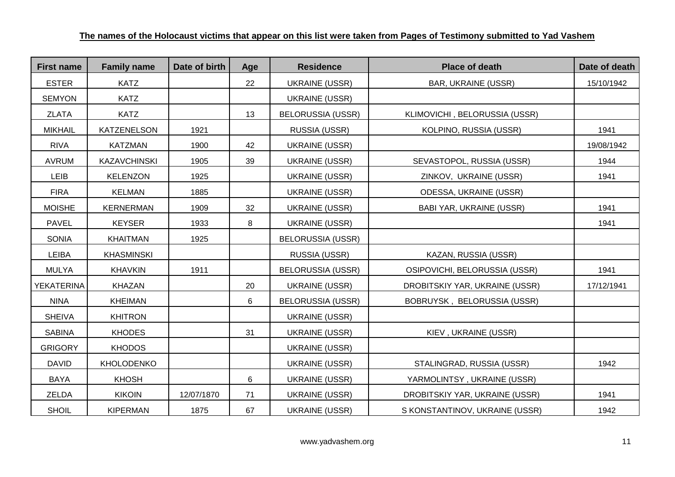| <b>First name</b> | <b>Family name</b>  | Date of birth | Age | <b>Residence</b>         | <b>Place of death</b>          | Date of death |
|-------------------|---------------------|---------------|-----|--------------------------|--------------------------------|---------------|
| <b>ESTER</b>      | <b>KATZ</b>         |               | 22  | <b>UKRAINE (USSR)</b>    | <b>BAR, UKRAINE (USSR)</b>     | 15/10/1942    |
| <b>SEMYON</b>     | <b>KATZ</b>         |               |     | <b>UKRAINE (USSR)</b>    |                                |               |
| <b>ZLATA</b>      | <b>KATZ</b>         |               | 13  | <b>BELORUSSIA (USSR)</b> | KLIMOVICHI, BELORUSSIA (USSR)  |               |
| <b>MIKHAIL</b>    | KATZENELSON         | 1921          |     | RUSSIA (USSR)            | KOLPINO, RUSSIA (USSR)         | 1941          |
| <b>RIVA</b>       | <b>KATZMAN</b>      | 1900          | 42  | UKRAINE (USSR)           |                                | 19/08/1942    |
| <b>AVRUM</b>      | <b>KAZAVCHINSKI</b> | 1905          | 39  | <b>UKRAINE (USSR)</b>    | SEVASTOPOL, RUSSIA (USSR)      | 1944          |
| <b>LEIB</b>       | <b>KELENZON</b>     | 1925          |     | <b>UKRAINE (USSR)</b>    | ZINKOV, UKRAINE (USSR)         | 1941          |
| <b>FIRA</b>       | <b>KELMAN</b>       | 1885          |     | <b>UKRAINE (USSR)</b>    | ODESSA, UKRAINE (USSR)         |               |
| <b>MOISHE</b>     | <b>KERNERMAN</b>    | 1909          | 32  | <b>UKRAINE (USSR)</b>    | BABI YAR, UKRAINE (USSR)       | 1941          |
| <b>PAVEL</b>      | <b>KEYSER</b>       | 1933          | 8   | <b>UKRAINE (USSR)</b>    |                                | 1941          |
| <b>SONIA</b>      | <b>KHAITMAN</b>     | 1925          |     | <b>BELORUSSIA (USSR)</b> |                                |               |
| LEIBA             | <b>KHASMINSKI</b>   |               |     | RUSSIA (USSR)            | KAZAN, RUSSIA (USSR)           |               |
| <b>MULYA</b>      | <b>KHAVKIN</b>      | 1911          |     | <b>BELORUSSIA (USSR)</b> | OSIPOVICHI, BELORUSSIA (USSR)  | 1941          |
| <b>YEKATERINA</b> | KHAZAN              |               | 20  | <b>UKRAINE (USSR)</b>    | DROBITSKIY YAR, UKRAINE (USSR) | 17/12/1941    |
| <b>NINA</b>       | <b>KHEIMAN</b>      |               | 6   | <b>BELORUSSIA (USSR)</b> | BOBRUYSK, BELORUSSIA (USSR)    |               |
| <b>SHEIVA</b>     | <b>KHITRON</b>      |               |     | UKRAINE (USSR)           |                                |               |
| <b>SABINA</b>     | <b>KHODES</b>       |               | 31  | <b>UKRAINE (USSR)</b>    | KIEV, UKRAINE (USSR)           |               |
| <b>GRIGORY</b>    | <b>KHODOS</b>       |               |     | <b>UKRAINE (USSR)</b>    |                                |               |
| <b>DAVID</b>      | <b>KHOLODENKO</b>   |               |     | <b>UKRAINE (USSR)</b>    | STALINGRAD, RUSSIA (USSR)      | 1942          |
| <b>BAYA</b>       | <b>KHOSH</b>        |               | 6   | <b>UKRAINE (USSR)</b>    | YARMOLINTSY, UKRAINE (USSR)    |               |
| ZELDA             | <b>KIKOIN</b>       | 12/07/1870    | 71  | <b>UKRAINE (USSR)</b>    | DROBITSKIY YAR, UKRAINE (USSR) | 1941          |
| <b>SHOIL</b>      | <b>KIPERMAN</b>     | 1875          | 67  | <b>UKRAINE (USSR)</b>    | S KONSTANTINOV, UKRAINE (USSR) | 1942          |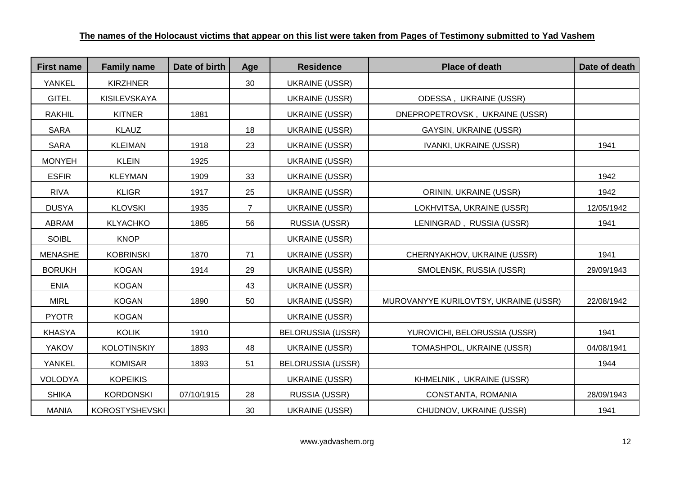| <b>First name</b> | <b>Family name</b>    | Date of birth | Age | <b>Residence</b>         | <b>Place of death</b>                 | Date of death |
|-------------------|-----------------------|---------------|-----|--------------------------|---------------------------------------|---------------|
| YANKEL            | <b>KIRZHNER</b>       |               | 30  | <b>UKRAINE (USSR)</b>    |                                       |               |
| <b>GITEL</b>      | KISILEVSKAYA          |               |     | <b>UKRAINE (USSR)</b>    | ODESSA, UKRAINE (USSR)                |               |
| <b>RAKHIL</b>     | <b>KITNER</b>         | 1881          |     | <b>UKRAINE (USSR)</b>    | DNEPROPETROVSK, UKRAINE (USSR)        |               |
| <b>SARA</b>       | <b>KLAUZ</b>          |               | 18  | <b>UKRAINE (USSR)</b>    | <b>GAYSIN, UKRAINE (USSR)</b>         |               |
| <b>SARA</b>       | <b>KLEIMAN</b>        | 1918          | 23  | <b>UKRAINE (USSR)</b>    | <b>IVANKI, UKRAINE (USSR)</b>         | 1941          |
| <b>MONYEH</b>     | <b>KLEIN</b>          | 1925          |     | <b>UKRAINE (USSR)</b>    |                                       |               |
| <b>ESFIR</b>      | <b>KLEYMAN</b>        | 1909          | 33  | <b>UKRAINE (USSR)</b>    |                                       | 1942          |
| <b>RIVA</b>       | <b>KLIGR</b>          | 1917          | 25  | <b>UKRAINE (USSR)</b>    | ORININ, UKRAINE (USSR)                | 1942          |
| <b>DUSYA</b>      | <b>KLOVSKI</b>        | 1935          | 7   | <b>UKRAINE (USSR)</b>    | LOKHVITSA, UKRAINE (USSR)             | 12/05/1942    |
| <b>ABRAM</b>      | <b>KLYACHKO</b>       | 1885          | 56  | RUSSIA (USSR)            | LENINGRAD, RUSSIA (USSR)              | 1941          |
| <b>SOIBL</b>      | <b>KNOP</b>           |               |     | <b>UKRAINE (USSR)</b>    |                                       |               |
| <b>MENASHE</b>    | <b>KOBRINSKI</b>      | 1870          | 71  | <b>UKRAINE (USSR)</b>    | CHERNYAKHOV, UKRAINE (USSR)           | 1941          |
| <b>BORUKH</b>     | <b>KOGAN</b>          | 1914          | 29  | <b>UKRAINE (USSR)</b>    | SMOLENSK, RUSSIA (USSR)               | 29/09/1943    |
| <b>ENIA</b>       | <b>KOGAN</b>          |               | 43  | <b>UKRAINE (USSR)</b>    |                                       |               |
| <b>MIRL</b>       | <b>KOGAN</b>          | 1890          | 50  | <b>UKRAINE (USSR)</b>    | MUROVANYYE KURILOVTSY, UKRAINE (USSR) | 22/08/1942    |
| <b>PYOTR</b>      | <b>KOGAN</b>          |               |     | <b>UKRAINE (USSR)</b>    |                                       |               |
| <b>KHASYA</b>     | <b>KOLIK</b>          | 1910          |     | <b>BELORUSSIA (USSR)</b> | YUROVICHI, BELORUSSIA (USSR)          | 1941          |
| <b>YAKOV</b>      | <b>KOLOTINSKIY</b>    | 1893          | 48  | <b>UKRAINE (USSR)</b>    | TOMASHPOL, UKRAINE (USSR)             | 04/08/1941    |
| YANKEL            | <b>KOMISAR</b>        | 1893          | 51  | <b>BELORUSSIA (USSR)</b> |                                       | 1944          |
| <b>VOLODYA</b>    | <b>KOPEIKIS</b>       |               |     | <b>UKRAINE (USSR)</b>    | KHMELNIK, UKRAINE (USSR)              |               |
| <b>SHIKA</b>      | <b>KORDONSKI</b>      | 07/10/1915    | 28  | RUSSIA (USSR)            | CONSTANTA, ROMANIA                    | 28/09/1943    |
| <b>MANIA</b>      | <b>KOROSTYSHEVSKI</b> |               | 30  | <b>UKRAINE (USSR)</b>    | CHUDNOV, UKRAINE (USSR)               | 1941          |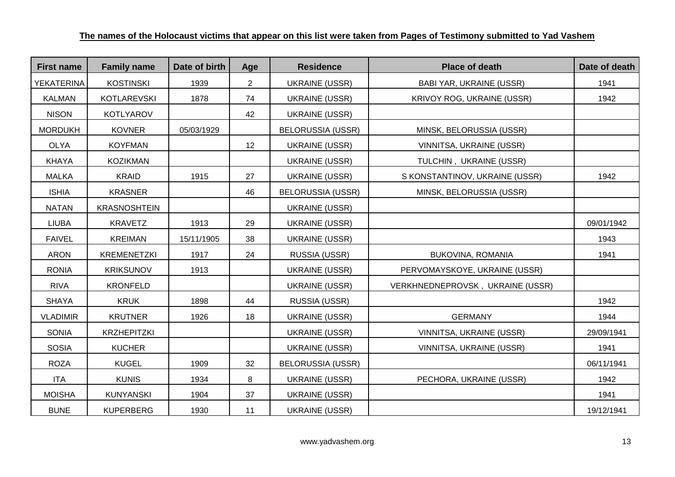| <b>First name</b> | <b>Family name</b>  | Date of birth | Age            | <b>Residence</b>         | <b>Place of death</b>            | Date of death |
|-------------------|---------------------|---------------|----------------|--------------------------|----------------------------------|---------------|
| YEKATERINA        | <b>KOSTINSKI</b>    | 1939          | $\overline{2}$ | <b>UKRAINE (USSR)</b>    | <b>BABI YAR, UKRAINE (USSR)</b>  | 1941          |
| <b>KALMAN</b>     | <b>KOTLAREVSKI</b>  | 1878          | 74             | <b>UKRAINE (USSR)</b>    | KRIVOY ROG, UKRAINE (USSR)       | 1942          |
| <b>NISON</b>      | KOTLYAROV           |               | 42             | <b>UKRAINE (USSR)</b>    |                                  |               |
| <b>MORDUKH</b>    | <b>KOVNER</b>       | 05/03/1929    |                | <b>BELORUSSIA (USSR)</b> | MINSK, BELORUSSIA (USSR)         |               |
| <b>OLYA</b>       | <b>KOYFMAN</b>      |               | 12             | <b>UKRAINE (USSR)</b>    | VINNITSA, UKRAINE (USSR)         |               |
| <b>KHAYA</b>      | <b>KOZIKMAN</b>     |               |                | <b>UKRAINE (USSR)</b>    | TULCHIN, UKRAINE (USSR)          |               |
| <b>MALKA</b>      | <b>KRAID</b>        | 1915          | 27             | <b>UKRAINE (USSR)</b>    | S KONSTANTINOV, UKRAINE (USSR)   | 1942          |
| <b>ISHIA</b>      | <b>KRASNER</b>      |               | 46             | <b>BELORUSSIA (USSR)</b> | MINSK, BELORUSSIA (USSR)         |               |
| <b>NATAN</b>      | <b>KRASNOSHTEIN</b> |               |                | <b>UKRAINE (USSR)</b>    |                                  |               |
| <b>LIUBA</b>      | <b>KRAVETZ</b>      | 1913          | 29             | <b>UKRAINE (USSR)</b>    |                                  | 09/01/1942    |
| <b>FAIVEL</b>     | <b>KREIMAN</b>      | 15/11/1905    | 38             | <b>UKRAINE (USSR)</b>    |                                  | 1943          |
| <b>ARON</b>       | <b>KREMENETZKI</b>  | 1917          | 24             | RUSSIA (USSR)            | BUKOVINA, ROMANIA                | 1941          |
| <b>RONIA</b>      | <b>KRIKSUNOV</b>    | 1913          |                | <b>UKRAINE (USSR)</b>    | PERVOMAYSKOYE, UKRAINE (USSR)    |               |
| <b>RIVA</b>       | <b>KRONFELD</b>     |               |                | <b>UKRAINE (USSR)</b>    | VERKHNEDNEPROVSK, UKRAINE (USSR) |               |
| <b>SHAYA</b>      | <b>KRUK</b>         | 1898          | 44             | RUSSIA (USSR)            |                                  | 1942          |
| <b>VLADIMIR</b>   | <b>KRUTNER</b>      | 1926          | 18             | <b>UKRAINE (USSR)</b>    | <b>GERMANY</b>                   | 1944          |
| <b>SONIA</b>      | <b>KRZHEPITZKI</b>  |               |                | <b>UKRAINE (USSR)</b>    | VINNITSA, UKRAINE (USSR)         | 29/09/1941    |
| <b>SOSIA</b>      | <b>KUCHER</b>       |               |                | <b>UKRAINE (USSR)</b>    | VINNITSA, UKRAINE (USSR)         | 1941          |
| <b>ROZA</b>       | <b>KUGEL</b>        | 1909          | 32             | <b>BELORUSSIA (USSR)</b> |                                  | 06/11/1941    |
| <b>ITA</b>        | <b>KUNIS</b>        | 1934          | 8              | <b>UKRAINE (USSR)</b>    | PECHORA, UKRAINE (USSR)          | 1942          |
| <b>MOISHA</b>     | <b>KUNYANSKI</b>    | 1904          | 37             | <b>UKRAINE (USSR)</b>    |                                  | 1941          |
| <b>BUNE</b>       | <b>KUPERBERG</b>    | 1930          | 11             | <b>UKRAINE (USSR)</b>    |                                  | 19/12/1941    |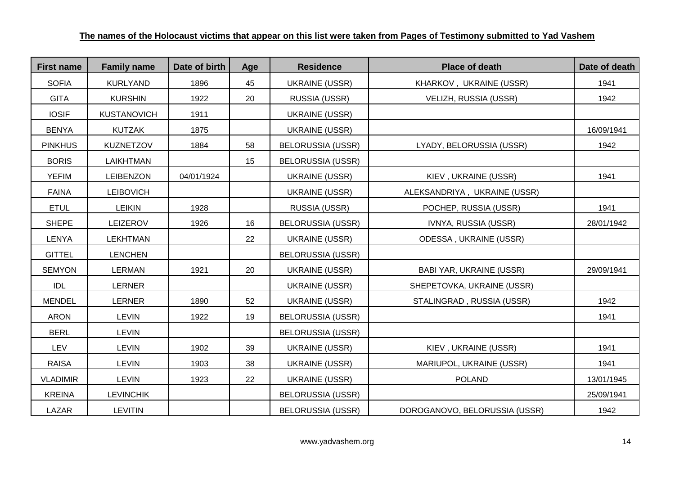| <b>First name</b> | <b>Family name</b> | Date of birth | Age | <b>Residence</b>         | <b>Place of death</b>           | Date of death |
|-------------------|--------------------|---------------|-----|--------------------------|---------------------------------|---------------|
| <b>SOFIA</b>      | <b>KURLYAND</b>    | 1896          | 45  | <b>UKRAINE (USSR)</b>    | KHARKOV, UKRAINE (USSR)         | 1941          |
| <b>GITA</b>       | <b>KURSHIN</b>     | 1922          | 20  | RUSSIA (USSR)            | VELIZH, RUSSIA (USSR)           | 1942          |
| <b>IOSIF</b>      | <b>KUSTANOVICH</b> | 1911          |     | <b>UKRAINE (USSR)</b>    |                                 |               |
| <b>BENYA</b>      | <b>KUTZAK</b>      | 1875          |     | <b>UKRAINE (USSR)</b>    |                                 | 16/09/1941    |
| <b>PINKHUS</b>    | <b>KUZNETZOV</b>   | 1884          | 58  | <b>BELORUSSIA (USSR)</b> | LYADY, BELORUSSIA (USSR)        | 1942          |
| <b>BORIS</b>      | LAIKHTMAN          |               | 15  | <b>BELORUSSIA (USSR)</b> |                                 |               |
| <b>YEFIM</b>      | <b>LEIBENZON</b>   | 04/01/1924    |     | <b>UKRAINE (USSR)</b>    | KIEV, UKRAINE (USSR)            | 1941          |
| <b>FAINA</b>      | <b>LEIBOVICH</b>   |               |     | <b>UKRAINE (USSR)</b>    | ALEKSANDRIYA, UKRAINE (USSR)    |               |
| <b>ETUL</b>       | <b>LEIKIN</b>      | 1928          |     | RUSSIA (USSR)            | POCHEP, RUSSIA (USSR)           | 1941          |
| <b>SHEPE</b>      | LEIZEROV           | 1926          | 16  | <b>BELORUSSIA (USSR)</b> | IVNYA, RUSSIA (USSR)            | 28/01/1942    |
| <b>LENYA</b>      | <b>LEKHTMAN</b>    |               | 22  | <b>UKRAINE (USSR)</b>    | <b>ODESSA, UKRAINE (USSR)</b>   |               |
| <b>GITTEL</b>     | <b>LENCHEN</b>     |               |     | <b>BELORUSSIA (USSR)</b> |                                 |               |
| <b>SEMYON</b>     | <b>LERMAN</b>      | 1921          | 20  | <b>UKRAINE (USSR)</b>    | <b>BABI YAR, UKRAINE (USSR)</b> | 29/09/1941    |
| <b>IDL</b>        | <b>LERNER</b>      |               |     | <b>UKRAINE (USSR)</b>    | SHEPETOVKA, UKRAINE (USSR)      |               |
| <b>MENDEL</b>     | <b>LERNER</b>      | 1890          | 52  | <b>UKRAINE (USSR)</b>    | STALINGRAD, RUSSIA (USSR)       | 1942          |
| <b>ARON</b>       | <b>LEVIN</b>       | 1922          | 19  | <b>BELORUSSIA (USSR)</b> |                                 | 1941          |
| <b>BERL</b>       | <b>LEVIN</b>       |               |     | <b>BELORUSSIA (USSR)</b> |                                 |               |
| LEV               | <b>LEVIN</b>       | 1902          | 39  | <b>UKRAINE (USSR)</b>    | KIEV, UKRAINE (USSR)            | 1941          |
| <b>RAISA</b>      | <b>LEVIN</b>       | 1903          | 38  | <b>UKRAINE (USSR)</b>    | MARIUPOL, UKRAINE (USSR)        | 1941          |
| <b>VLADIMIR</b>   | <b>LEVIN</b>       | 1923          | 22  | <b>UKRAINE (USSR)</b>    | <b>POLAND</b>                   | 13/01/1945    |
| <b>KREINA</b>     | <b>LEVINCHIK</b>   |               |     | <b>BELORUSSIA (USSR)</b> |                                 | 25/09/1941    |
| LAZAR             | <b>LEVITIN</b>     |               |     | <b>BELORUSSIA (USSR)</b> | DOROGANOVO, BELORUSSIA (USSR)   | 1942          |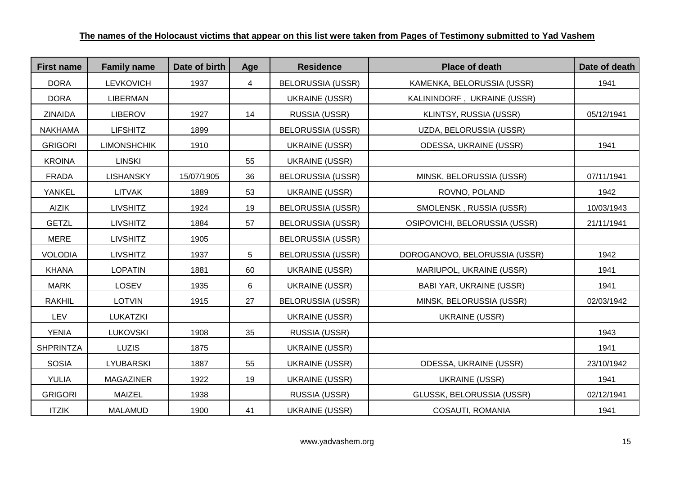| <b>First name</b> | <b>Family name</b> | Date of birth | Age | <b>Residence</b>         | <b>Place of death</b>           | Date of death |
|-------------------|--------------------|---------------|-----|--------------------------|---------------------------------|---------------|
| <b>DORA</b>       | <b>LEVKOVICH</b>   | 1937          | 4   | <b>BELORUSSIA (USSR)</b> | KAMENKA, BELORUSSIA (USSR)      | 1941          |
| <b>DORA</b>       | <b>LIBERMAN</b>    |               |     | <b>UKRAINE (USSR)</b>    | KALININDORF, UKRAINE (USSR)     |               |
| <b>ZINAIDA</b>    | LIBEROV            | 1927          | 14  | RUSSIA (USSR)            | KLINTSY, RUSSIA (USSR)          | 05/12/1941    |
| <b>NAKHAMA</b>    | <b>LIFSHITZ</b>    | 1899          |     | <b>BELORUSSIA (USSR)</b> | UZDA, BELORUSSIA (USSR)         |               |
| <b>GRIGORI</b>    | <b>LIMONSHCHIK</b> | 1910          |     | <b>UKRAINE (USSR)</b>    | <b>ODESSA, UKRAINE (USSR)</b>   | 1941          |
| <b>KROINA</b>     | <b>LINSKI</b>      |               | 55  | <b>UKRAINE (USSR)</b>    |                                 |               |
| <b>FRADA</b>      | <b>LISHANSKY</b>   | 15/07/1905    | 36  | <b>BELORUSSIA (USSR)</b> | MINSK, BELORUSSIA (USSR)        | 07/11/1941    |
| YANKEL            | <b>LITVAK</b>      | 1889          | 53  | UKRAINE (USSR)           | ROVNO, POLAND                   | 1942          |
| <b>AIZIK</b>      | <b>LIVSHITZ</b>    | 1924          | 19  | <b>BELORUSSIA (USSR)</b> | SMOLENSK, RUSSIA (USSR)         | 10/03/1943    |
| <b>GETZL</b>      | <b>LIVSHITZ</b>    | 1884          | 57  | <b>BELORUSSIA (USSR)</b> | OSIPOVICHI, BELORUSSIA (USSR)   | 21/11/1941    |
| <b>MERE</b>       | <b>LIVSHITZ</b>    | 1905          |     | <b>BELORUSSIA (USSR)</b> |                                 |               |
| <b>VOLODIA</b>    | <b>LIVSHITZ</b>    | 1937          | 5   | <b>BELORUSSIA (USSR)</b> | DOROGANOVO, BELORUSSIA (USSR)   | 1942          |
| <b>KHANA</b>      | <b>LOPATIN</b>     | 1881          | 60  | <b>UKRAINE (USSR)</b>    | MARIUPOL, UKRAINE (USSR)        | 1941          |
| <b>MARK</b>       | <b>LOSEV</b>       | 1935          | 6   | <b>UKRAINE (USSR)</b>    | <b>BABI YAR, UKRAINE (USSR)</b> | 1941          |
| <b>RAKHIL</b>     | <b>LOTVIN</b>      | 1915          | 27  | <b>BELORUSSIA (USSR)</b> | MINSK, BELORUSSIA (USSR)        | 02/03/1942    |
| LEV               | <b>LUKATZKI</b>    |               |     | <b>UKRAINE (USSR)</b>    | UKRAINE (USSR)                  |               |
| <b>YENIA</b>      | <b>LUKOVSKI</b>    | 1908          | 35  | RUSSIA (USSR)            |                                 | 1943          |
| <b>SHPRINTZA</b>  | <b>LUZIS</b>       | 1875          |     | <b>UKRAINE (USSR)</b>    |                                 | 1941          |
| <b>SOSIA</b>      | LYUBARSKI          | 1887          | 55  | <b>UKRAINE (USSR)</b>    | ODESSA, UKRAINE (USSR)          | 23/10/1942    |
| YULIA             | <b>MAGAZINER</b>   | 1922          | 19  | <b>UKRAINE (USSR)</b>    | <b>UKRAINE (USSR)</b>           | 1941          |
| <b>GRIGORI</b>    | <b>MAIZEL</b>      | 1938          |     | RUSSIA (USSR)            | GLUSSK, BELORUSSIA (USSR)       | 02/12/1941    |
| <b>ITZIK</b>      | MALAMUD            | 1900          | 41  | <b>UKRAINE (USSR)</b>    | COSAUTI, ROMANIA                | 1941          |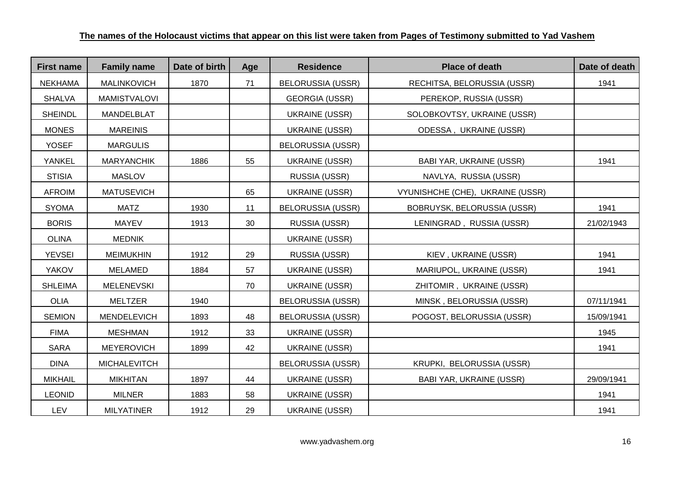| <b>First name</b> | <b>Family name</b>  | Date of birth | Age | <b>Residence</b>         | <b>Place of death</b>            | Date of death |
|-------------------|---------------------|---------------|-----|--------------------------|----------------------------------|---------------|
| <b>NEKHAMA</b>    | <b>MALINKOVICH</b>  | 1870          | 71  | <b>BELORUSSIA (USSR)</b> | RECHITSA, BELORUSSIA (USSR)      | 1941          |
| <b>SHALVA</b>     | <b>MAMISTVALOVI</b> |               |     | <b>GEORGIA (USSR)</b>    | PEREKOP, RUSSIA (USSR)           |               |
| <b>SHEINDL</b>    | MANDELBLAT          |               |     | <b>UKRAINE (USSR)</b>    | SOLOBKOVTSY, UKRAINE (USSR)      |               |
| <b>MONES</b>      | <b>MAREINIS</b>     |               |     | <b>UKRAINE (USSR)</b>    | ODESSA, UKRAINE (USSR)           |               |
| <b>YOSEF</b>      | <b>MARGULIS</b>     |               |     | <b>BELORUSSIA (USSR)</b> |                                  |               |
| <b>YANKEL</b>     | <b>MARYANCHIK</b>   | 1886          | 55  | <b>UKRAINE (USSR)</b>    | <b>BABI YAR, UKRAINE (USSR)</b>  | 1941          |
| <b>STISIA</b>     | <b>MASLOV</b>       |               |     | RUSSIA (USSR)            | NAVLYA, RUSSIA (USSR)            |               |
| <b>AFROIM</b>     | <b>MATUSEVICH</b>   |               | 65  | <b>UKRAINE (USSR)</b>    | VYUNISHCHE (CHE), UKRAINE (USSR) |               |
| <b>SYOMA</b>      | <b>MATZ</b>         | 1930          | 11  | <b>BELORUSSIA (USSR)</b> | BOBRUYSK, BELORUSSIA (USSR)      | 1941          |
| <b>BORIS</b>      | <b>MAYEV</b>        | 1913          | 30  | RUSSIA (USSR)            | LENINGRAD, RUSSIA (USSR)         | 21/02/1943    |
| <b>OLINA</b>      | <b>MEDNIK</b>       |               |     | <b>UKRAINE (USSR)</b>    |                                  |               |
| <b>YEVSEI</b>     | <b>MEIMUKHIN</b>    | 1912          | 29  | RUSSIA (USSR)            | KIEV, UKRAINE (USSR)             | 1941          |
| <b>YAKOV</b>      | <b>MELAMED</b>      | 1884          | 57  | <b>UKRAINE (USSR)</b>    | MARIUPOL, UKRAINE (USSR)         | 1941          |
| <b>SHLEIMA</b>    | MELENEVSKI          |               | 70  | <b>UKRAINE (USSR)</b>    | ZHITOMIR, UKRAINE (USSR)         |               |
| <b>OLIA</b>       | <b>MELTZER</b>      | 1940          |     | <b>BELORUSSIA (USSR)</b> | MINSK, BELORUSSIA (USSR)         | 07/11/1941    |
| <b>SEMION</b>     | MENDELEVICH         | 1893          | 48  | <b>BELORUSSIA (USSR)</b> | POGOST, BELORUSSIA (USSR)        | 15/09/1941    |
| <b>FIMA</b>       | <b>MESHMAN</b>      | 1912          | 33  | <b>UKRAINE (USSR)</b>    |                                  | 1945          |
| <b>SARA</b>       | <b>MEYEROVICH</b>   | 1899          | 42  | <b>UKRAINE (USSR)</b>    |                                  | 1941          |
| <b>DINA</b>       | <b>MICHALEVITCH</b> |               |     | <b>BELORUSSIA (USSR)</b> | KRUPKI, BELORUSSIA (USSR)        |               |
| <b>MIKHAIL</b>    | <b>MIKHITAN</b>     | 1897          | 44  | <b>UKRAINE (USSR)</b>    | <b>BABI YAR, UKRAINE (USSR)</b>  | 29/09/1941    |
| <b>LEONID</b>     | <b>MILNER</b>       | 1883          | 58  | <b>UKRAINE (USSR)</b>    |                                  | 1941          |
| <b>LEV</b>        | <b>MILYATINER</b>   | 1912          | 29  | <b>UKRAINE (USSR)</b>    |                                  | 1941          |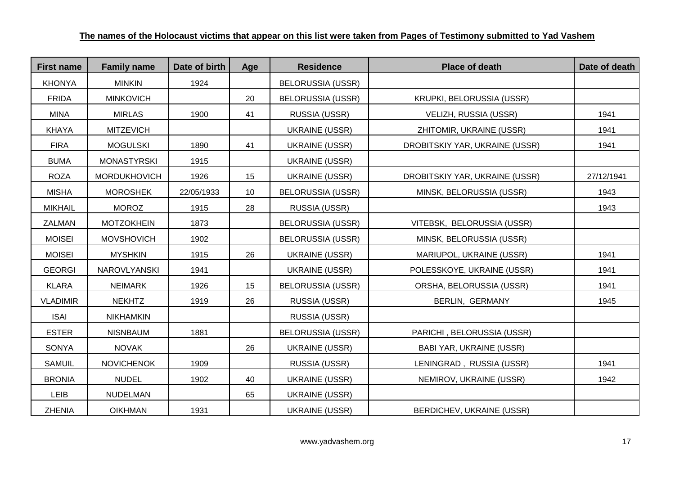| <b>First name</b> | <b>Family name</b>  | Date of birth | Age | <b>Residence</b>         | <b>Place of death</b>           | Date of death |
|-------------------|---------------------|---------------|-----|--------------------------|---------------------------------|---------------|
| <b>KHONYA</b>     | <b>MINKIN</b>       | 1924          |     | <b>BELORUSSIA (USSR)</b> |                                 |               |
| <b>FRIDA</b>      | <b>MINKOVICH</b>    |               | 20  | <b>BELORUSSIA (USSR)</b> | KRUPKI, BELORUSSIA (USSR)       |               |
| <b>MINA</b>       | <b>MIRLAS</b>       | 1900          | 41  | RUSSIA (USSR)            | VELIZH, RUSSIA (USSR)           | 1941          |
| <b>KHAYA</b>      | <b>MITZEVICH</b>    |               |     | UKRAINE (USSR)           | ZHITOMIR, UKRAINE (USSR)        | 1941          |
| <b>FIRA</b>       | <b>MOGULSKI</b>     | 1890          | 41  | <b>UKRAINE (USSR)</b>    | DROBITSKIY YAR, UKRAINE (USSR)  | 1941          |
| <b>BUMA</b>       | <b>MONASTYRSKI</b>  | 1915          |     | <b>UKRAINE (USSR)</b>    |                                 |               |
| <b>ROZA</b>       | <b>MORDUKHOVICH</b> | 1926          | 15  | <b>UKRAINE (USSR)</b>    | DROBITSKIY YAR, UKRAINE (USSR)  | 27/12/1941    |
| <b>MISHA</b>      | <b>MOROSHEK</b>     | 22/05/1933    | 10  | <b>BELORUSSIA (USSR)</b> | MINSK, BELORUSSIA (USSR)        | 1943          |
| <b>MIKHAIL</b>    | <b>MOROZ</b>        | 1915          | 28  | RUSSIA (USSR)            |                                 | 1943          |
| <b>ZALMAN</b>     | <b>MOTZOKHEIN</b>   | 1873          |     | <b>BELORUSSIA (USSR)</b> | VITEBSK, BELORUSSIA (USSR)      |               |
| <b>MOISEI</b>     | <b>MOVSHOVICH</b>   | 1902          |     | <b>BELORUSSIA (USSR)</b> | MINSK, BELORUSSIA (USSR)        |               |
| <b>MOISEI</b>     | <b>MYSHKIN</b>      | 1915          | 26  | UKRAINE (USSR)           | MARIUPOL, UKRAINE (USSR)        | 1941          |
| <b>GEORGI</b>     | <b>NAROVLYANSKI</b> | 1941          |     | <b>UKRAINE (USSR)</b>    | POLESSKOYE, UKRAINE (USSR)      | 1941          |
| <b>KLARA</b>      | <b>NEIMARK</b>      | 1926          | 15  | <b>BELORUSSIA (USSR)</b> | ORSHA, BELORUSSIA (USSR)        | 1941          |
| <b>VLADIMIR</b>   | <b>NEKHTZ</b>       | 1919          | 26  | RUSSIA (USSR)            | BERLIN, GERMANY                 | 1945          |
| <b>ISAI</b>       | <b>NIKHAMKIN</b>    |               |     | RUSSIA (USSR)            |                                 |               |
| <b>ESTER</b>      | <b>NISNBAUM</b>     | 1881          |     | <b>BELORUSSIA (USSR)</b> | PARICHI, BELORUSSIA (USSR)      |               |
| <b>SONYA</b>      | <b>NOVAK</b>        |               | 26  | <b>UKRAINE (USSR)</b>    | <b>BABI YAR, UKRAINE (USSR)</b> |               |
| <b>SAMUIL</b>     | <b>NOVICHENOK</b>   | 1909          |     | RUSSIA (USSR)            | LENINGRAD, RUSSIA (USSR)        | 1941          |
| <b>BRONIA</b>     | <b>NUDEL</b>        | 1902          | 40  | <b>UKRAINE (USSR)</b>    | NEMIROV, UKRAINE (USSR)         | 1942          |
| <b>LEIB</b>       | <b>NUDELMAN</b>     |               | 65  | <b>UKRAINE (USSR)</b>    |                                 |               |
| <b>ZHENIA</b>     | <b>OIKHMAN</b>      | 1931          |     | <b>UKRAINE (USSR)</b>    | BERDICHEV, UKRAINE (USSR)       |               |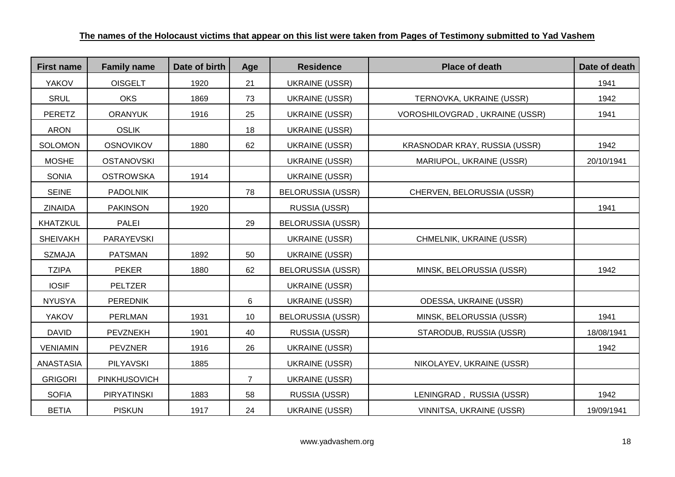| <b>First name</b> | <b>Family name</b> | Date of birth | Age            | <b>Residence</b>         | <b>Place of death</b>                 | Date of death |
|-------------------|--------------------|---------------|----------------|--------------------------|---------------------------------------|---------------|
| <b>YAKOV</b>      | <b>OISGELT</b>     | 1920          | 21             | <b>UKRAINE (USSR)</b>    |                                       | 1941          |
| <b>SRUL</b>       | <b>OKS</b>         | 1869          | 73             | <b>UKRAINE (USSR)</b>    | TERNOVKA, UKRAINE (USSR)              | 1942          |
| <b>PERETZ</b>     | <b>ORANYUK</b>     | 1916          | 25             | <b>UKRAINE (USSR)</b>    | <b>VOROSHILOVGRAD, UKRAINE (USSR)</b> | 1941          |
| <b>ARON</b>       | <b>OSLIK</b>       |               | 18             | <b>UKRAINE (USSR)</b>    |                                       |               |
| <b>SOLOMON</b>    | <b>OSNOVIKOV</b>   | 1880          | 62             | <b>UKRAINE (USSR)</b>    | KRASNODAR KRAY, RUSSIA (USSR)         | 1942          |
| <b>MOSHE</b>      | <b>OSTANOVSKI</b>  |               |                | <b>UKRAINE (USSR)</b>    | MARIUPOL, UKRAINE (USSR)              | 20/10/1941    |
| <b>SONIA</b>      | <b>OSTROWSKA</b>   | 1914          |                | <b>UKRAINE (USSR)</b>    |                                       |               |
| <b>SEINE</b>      | <b>PADOLNIK</b>    |               | 78             | <b>BELORUSSIA (USSR)</b> | CHERVEN, BELORUSSIA (USSR)            |               |
| <b>ZINAIDA</b>    | <b>PAKINSON</b>    | 1920          |                | RUSSIA (USSR)            |                                       | 1941          |
| <b>KHATZKUL</b>   | <b>PALEI</b>       |               | 29             | <b>BELORUSSIA (USSR)</b> |                                       |               |
| <b>SHEIVAKH</b>   | PARAYEVSKI         |               |                | <b>UKRAINE (USSR)</b>    | CHMELNIK, UKRAINE (USSR)              |               |
| <b>SZMAJA</b>     | <b>PATSMAN</b>     | 1892          | 50             | <b>UKRAINE (USSR)</b>    |                                       |               |
| <b>TZIPA</b>      | <b>PEKER</b>       | 1880          | 62             | <b>BELORUSSIA (USSR)</b> | MINSK, BELORUSSIA (USSR)              | 1942          |
| <b>IOSIF</b>      | <b>PELTZER</b>     |               |                | <b>UKRAINE (USSR)</b>    |                                       |               |
| <b>NYUSYA</b>     | <b>PEREDNIK</b>    |               | 6              | <b>UKRAINE (USSR)</b>    | ODESSA, UKRAINE (USSR)                |               |
| <b>YAKOV</b>      | <b>PERLMAN</b>     | 1931          | 10             | <b>BELORUSSIA (USSR)</b> | MINSK, BELORUSSIA (USSR)              | 1941          |
| <b>DAVID</b>      | PEVZNEKH           | 1901          | 40             | RUSSIA (USSR)            | STARODUB, RUSSIA (USSR)               | 18/08/1941    |
| <b>VENIAMIN</b>   | <b>PEVZNER</b>     | 1916          | 26             | <b>UKRAINE (USSR)</b>    |                                       | 1942          |
| ANASTASIA         | <b>PILYAVSKI</b>   | 1885          |                | <b>UKRAINE (USSR)</b>    | NIKOLAYEV, UKRAINE (USSR)             |               |
| <b>GRIGORI</b>    | PINKHUSOVICH       |               | $\overline{7}$ | <b>UKRAINE (USSR)</b>    |                                       |               |
| <b>SOFIA</b>      | <b>PIRYATINSKI</b> | 1883          | 58             | RUSSIA (USSR)            | LENINGRAD, RUSSIA (USSR)              | 1942          |
| <b>BETIA</b>      | <b>PISKUN</b>      | 1917          | 24             | <b>UKRAINE (USSR)</b>    | VINNITSA, UKRAINE (USSR)              | 19/09/1941    |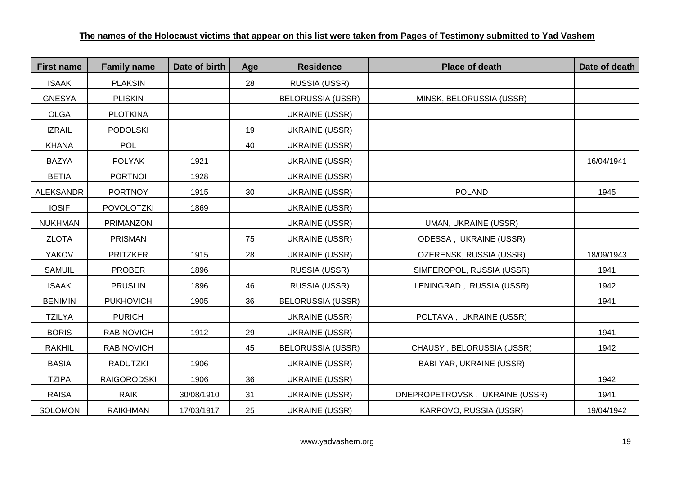| <b>First name</b> | <b>Family name</b> | Date of birth | Age | <b>Residence</b>         | <b>Place of death</b>           | Date of death |
|-------------------|--------------------|---------------|-----|--------------------------|---------------------------------|---------------|
| <b>ISAAK</b>      | <b>PLAKSIN</b>     |               | 28  | RUSSIA (USSR)            |                                 |               |
| <b>GNESYA</b>     | <b>PLISKIN</b>     |               |     | <b>BELORUSSIA (USSR)</b> | MINSK, BELORUSSIA (USSR)        |               |
| <b>OLGA</b>       | <b>PLOTKINA</b>    |               |     | <b>UKRAINE (USSR)</b>    |                                 |               |
| <b>IZRAIL</b>     | <b>PODOLSKI</b>    |               | 19  | <b>UKRAINE (USSR)</b>    |                                 |               |
| <b>KHANA</b>      | <b>POL</b>         |               | 40  | <b>UKRAINE (USSR)</b>    |                                 |               |
| <b>BAZYA</b>      | <b>POLYAK</b>      | 1921          |     | <b>UKRAINE (USSR)</b>    |                                 | 16/04/1941    |
| <b>BETIA</b>      | <b>PORTNOI</b>     | 1928          |     | <b>UKRAINE (USSR)</b>    |                                 |               |
| <b>ALEKSANDR</b>  | <b>PORTNOY</b>     | 1915          | 30  | <b>UKRAINE (USSR)</b>    | <b>POLAND</b>                   | 1945          |
| <b>IOSIF</b>      | <b>POVOLOTZKI</b>  | 1869          |     | <b>UKRAINE (USSR)</b>    |                                 |               |
| <b>NUKHMAN</b>    | <b>PRIMANZON</b>   |               |     | <b>UKRAINE (USSR)</b>    | <b>UMAN, UKRAINE (USSR)</b>     |               |
| <b>ZLOTA</b>      | <b>PRISMAN</b>     |               | 75  | <b>UKRAINE (USSR)</b>    | <b>ODESSA, UKRAINE (USSR)</b>   |               |
| <b>YAKOV</b>      | <b>PRITZKER</b>    | 1915          | 28  | <b>UKRAINE (USSR)</b>    | OZERENSK, RUSSIA (USSR)         | 18/09/1943    |
| <b>SAMUIL</b>     | <b>PROBER</b>      | 1896          |     | RUSSIA (USSR)            | SIMFEROPOL, RUSSIA (USSR)       | 1941          |
| <b>ISAAK</b>      | <b>PRUSLIN</b>     | 1896          | 46  | RUSSIA (USSR)            | LENINGRAD, RUSSIA (USSR)        | 1942          |
| <b>BENIMIN</b>    | <b>PUKHOVICH</b>   | 1905          | 36  | <b>BELORUSSIA (USSR)</b> |                                 | 1941          |
| <b>TZILYA</b>     | <b>PURICH</b>      |               |     | <b>UKRAINE (USSR)</b>    | POLTAVA, UKRAINE (USSR)         |               |
| <b>BORIS</b>      | <b>RABINOVICH</b>  | 1912          | 29  | <b>UKRAINE (USSR)</b>    |                                 | 1941          |
| <b>RAKHIL</b>     | <b>RABINOVICH</b>  |               | 45  | <b>BELORUSSIA (USSR)</b> | CHAUSY, BELORUSSIA (USSR)       | 1942          |
| <b>BASIA</b>      | <b>RADUTZKI</b>    | 1906          |     | <b>UKRAINE (USSR)</b>    | <b>BABI YAR, UKRAINE (USSR)</b> |               |
| <b>TZIPA</b>      | <b>RAIGORODSKI</b> | 1906          | 36  | <b>UKRAINE (USSR)</b>    |                                 | 1942          |
| <b>RAISA</b>      | <b>RAIK</b>        | 30/08/1910    | 31  | <b>UKRAINE (USSR)</b>    | DNEPROPETROVSK, UKRAINE (USSR)  | 1941          |
| <b>SOLOMON</b>    | <b>RAIKHMAN</b>    | 17/03/1917    | 25  | <b>UKRAINE (USSR)</b>    | KARPOVO, RUSSIA (USSR)          | 19/04/1942    |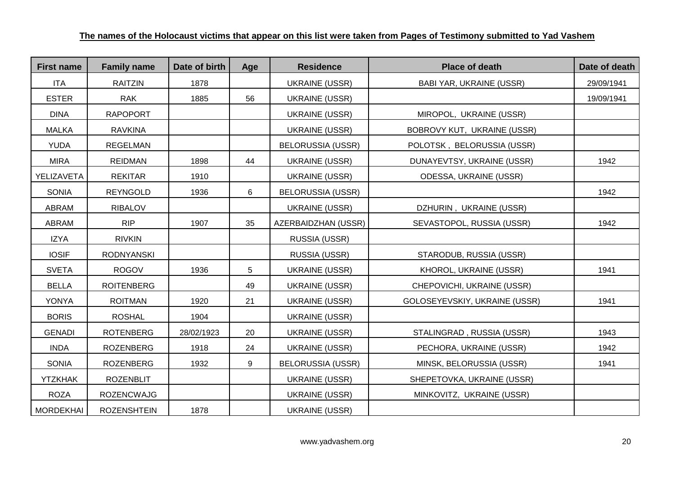| <b>First name</b> | <b>Family name</b> | Date of birth | Age | <b>Residence</b>         | <b>Place of death</b>           | Date of death |
|-------------------|--------------------|---------------|-----|--------------------------|---------------------------------|---------------|
| <b>ITA</b>        | <b>RAITZIN</b>     | 1878          |     | <b>UKRAINE (USSR)</b>    | <b>BABI YAR, UKRAINE (USSR)</b> | 29/09/1941    |
| <b>ESTER</b>      | <b>RAK</b>         | 1885          | 56  | UKRAINE (USSR)           |                                 | 19/09/1941    |
| <b>DINA</b>       | <b>RAPOPORT</b>    |               |     | <b>UKRAINE (USSR)</b>    | MIROPOL, UKRAINE (USSR)         |               |
| <b>MALKA</b>      | <b>RAVKINA</b>     |               |     | <b>UKRAINE (USSR)</b>    | BOBROVY KUT, UKRAINE (USSR)     |               |
| <b>YUDA</b>       | <b>REGELMAN</b>    |               |     | <b>BELORUSSIA (USSR)</b> | POLOTSK, BELORUSSIA (USSR)      |               |
| <b>MIRA</b>       | <b>REIDMAN</b>     | 1898          | 44  | <b>UKRAINE (USSR)</b>    | DUNAYEVTSY, UKRAINE (USSR)      | 1942          |
| YELIZAVETA        | <b>REKITAR</b>     | 1910          |     | <b>UKRAINE (USSR)</b>    | ODESSA, UKRAINE (USSR)          |               |
| <b>SONIA</b>      | <b>REYNGOLD</b>    | 1936          | 6   | <b>BELORUSSIA (USSR)</b> |                                 | 1942          |
| ABRAM             | <b>RIBALOV</b>     |               |     | <b>UKRAINE (USSR)</b>    | DZHURIN, UKRAINE (USSR)         |               |
| ABRAM             | <b>RIP</b>         | 1907          | 35  | AZERBAIDZHAN (USSR)      | SEVASTOPOL, RUSSIA (USSR)       | 1942          |
| <b>IZYA</b>       | <b>RIVKIN</b>      |               |     | RUSSIA (USSR)            |                                 |               |
| <b>IOSIF</b>      | <b>RODNYANSKI</b>  |               |     | RUSSIA (USSR)            | STARODUB, RUSSIA (USSR)         |               |
| <b>SVETA</b>      | <b>ROGOV</b>       | 1936          | 5   | <b>UKRAINE (USSR)</b>    | KHOROL, UKRAINE (USSR)          | 1941          |
| <b>BELLA</b>      | <b>ROITENBERG</b>  |               | 49  | <b>UKRAINE (USSR)</b>    | CHEPOVICHI, UKRAINE (USSR)      |               |
| <b>YONYA</b>      | <b>ROITMAN</b>     | 1920          | 21  | <b>UKRAINE (USSR)</b>    | GOLOSEYEVSKIY, UKRAINE (USSR)   | 1941          |
| <b>BORIS</b>      | <b>ROSHAL</b>      | 1904          |     | <b>UKRAINE (USSR)</b>    |                                 |               |
| <b>GENADI</b>     | <b>ROTENBERG</b>   | 28/02/1923    | 20  | <b>UKRAINE (USSR)</b>    | STALINGRAD, RUSSIA (USSR)       | 1943          |
| <b>INDA</b>       | <b>ROZENBERG</b>   | 1918          | 24  | <b>UKRAINE (USSR)</b>    | PECHORA, UKRAINE (USSR)         | 1942          |
| <b>SONIA</b>      | <b>ROZENBERG</b>   | 1932          | 9   | <b>BELORUSSIA (USSR)</b> | MINSK, BELORUSSIA (USSR)        | 1941          |
| <b>YTZKHAK</b>    | <b>ROZENBLIT</b>   |               |     | <b>UKRAINE (USSR)</b>    | SHEPETOVKA, UKRAINE (USSR)      |               |
| <b>ROZA</b>       | <b>ROZENCWAJG</b>  |               |     | <b>UKRAINE (USSR)</b>    | MINKOVITZ, UKRAINE (USSR)       |               |
| <b>MORDEKHAI</b>  | <b>ROZENSHTEIN</b> | 1878          |     | <b>UKRAINE (USSR)</b>    |                                 |               |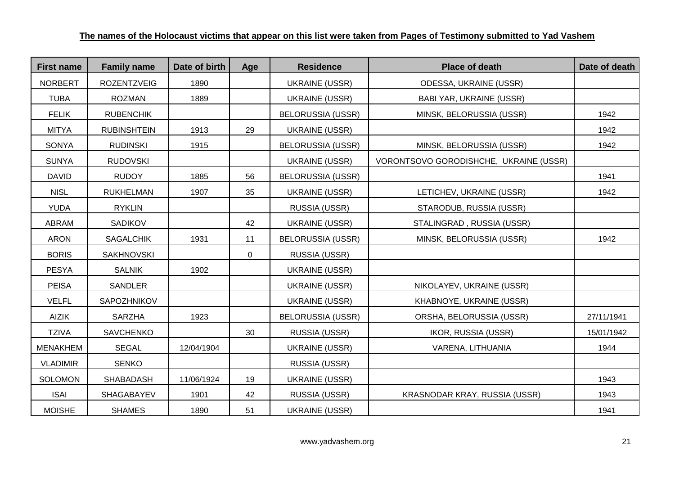| <b>First name</b> | <b>Family name</b> | Date of birth | Age            | <b>Residence</b>         | <b>Place of death</b>                  | Date of death |
|-------------------|--------------------|---------------|----------------|--------------------------|----------------------------------------|---------------|
| <b>NORBERT</b>    | <b>ROZENTZVEIG</b> | 1890          |                | <b>UKRAINE (USSR)</b>    | ODESSA, UKRAINE (USSR)                 |               |
| <b>TUBA</b>       | <b>ROZMAN</b>      | 1889          |                | <b>UKRAINE (USSR)</b>    | <b>BABI YAR, UKRAINE (USSR)</b>        |               |
| <b>FELIK</b>      | <b>RUBENCHIK</b>   |               |                | <b>BELORUSSIA (USSR)</b> | MINSK, BELORUSSIA (USSR)               | 1942          |
| <b>MITYA</b>      | <b>RUBINSHTEIN</b> | 1913          | 29             | <b>UKRAINE (USSR)</b>    |                                        | 1942          |
| <b>SONYA</b>      | <b>RUDINSKI</b>    | 1915          |                | <b>BELORUSSIA (USSR)</b> | MINSK, BELORUSSIA (USSR)               | 1942          |
| <b>SUNYA</b>      | <b>RUDOVSKI</b>    |               |                | <b>UKRAINE (USSR)</b>    | VORONTSOVO GORODISHCHE, UKRAINE (USSR) |               |
| <b>DAVID</b>      | <b>RUDOY</b>       | 1885          | 56             | <b>BELORUSSIA (USSR)</b> |                                        | 1941          |
| <b>NISL</b>       | <b>RUKHELMAN</b>   | 1907          | 35             | UKRAINE (USSR)           | LETICHEV, UKRAINE (USSR)               | 1942          |
| <b>YUDA</b>       | <b>RYKLIN</b>      |               |                | RUSSIA (USSR)            | STARODUB, RUSSIA (USSR)                |               |
| ABRAM             | SADIKOV            |               | 42             | <b>UKRAINE (USSR)</b>    | STALINGRAD, RUSSIA (USSR)              |               |
| <b>ARON</b>       | <b>SAGALCHIK</b>   | 1931          | 11             | <b>BELORUSSIA (USSR)</b> | MINSK, BELORUSSIA (USSR)               | 1942          |
| <b>BORIS</b>      | <b>SAKHNOVSKI</b>  |               | $\overline{0}$ | RUSSIA (USSR)            |                                        |               |
| <b>PESYA</b>      | <b>SALNIK</b>      | 1902          |                | <b>UKRAINE (USSR)</b>    |                                        |               |
| <b>PEISA</b>      | SANDLER            |               |                | <b>UKRAINE (USSR)</b>    | NIKOLAYEV, UKRAINE (USSR)              |               |
| <b>VELFL</b>      | SAPOZHNIKOV        |               |                | <b>UKRAINE (USSR)</b>    | KHABNOYE, UKRAINE (USSR)               |               |
| <b>AIZIK</b>      | <b>SARZHA</b>      | 1923          |                | <b>BELORUSSIA (USSR)</b> | ORSHA, BELORUSSIA (USSR)               | 27/11/1941    |
| <b>TZIVA</b>      | <b>SAVCHENKO</b>   |               | 30             | RUSSIA (USSR)            | IKOR, RUSSIA (USSR)                    | 15/01/1942    |
| <b>MENAKHEM</b>   | <b>SEGAL</b>       | 12/04/1904    |                | <b>UKRAINE (USSR)</b>    | VARENA, LITHUANIA                      | 1944          |
| <b>VLADIMIR</b>   | <b>SENKO</b>       |               |                | RUSSIA (USSR)            |                                        |               |
| <b>SOLOMON</b>    | SHABADASH          | 11/06/1924    | 19             | <b>UKRAINE (USSR)</b>    |                                        | 1943          |
| <b>ISAI</b>       | SHAGABAYEV         | 1901          | 42             | RUSSIA (USSR)            | KRASNODAR KRAY, RUSSIA (USSR)          | 1943          |
| <b>MOISHE</b>     | <b>SHAMES</b>      | 1890          | 51             | <b>UKRAINE (USSR)</b>    |                                        | 1941          |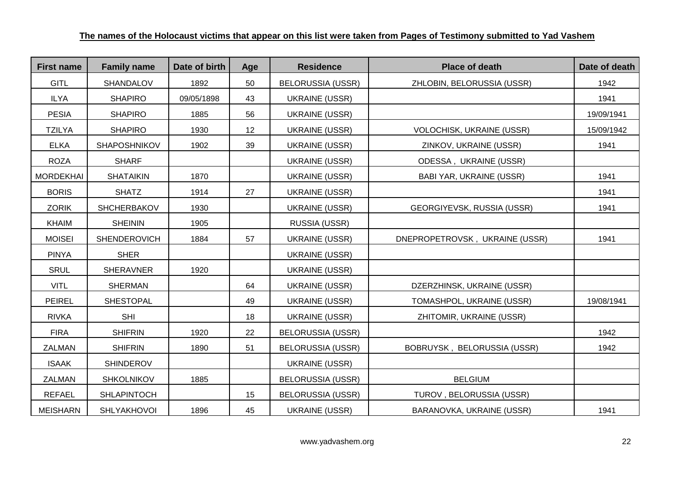| <b>First name</b> | <b>Family name</b>  | Date of birth | Age | <b>Residence</b>         | <b>Place of death</b>           | Date of death |
|-------------------|---------------------|---------------|-----|--------------------------|---------------------------------|---------------|
| <b>GITL</b>       | SHANDALOV           | 1892          | 50  | <b>BELORUSSIA (USSR)</b> | ZHLOBIN, BELORUSSIA (USSR)      | 1942          |
| <b>ILYA</b>       | <b>SHAPIRO</b>      | 09/05/1898    | 43  | <b>UKRAINE (USSR)</b>    |                                 | 1941          |
| <b>PESIA</b>      | <b>SHAPIRO</b>      | 1885          | 56  | <b>UKRAINE (USSR)</b>    |                                 | 19/09/1941    |
| <b>TZILYA</b>     | <b>SHAPIRO</b>      | 1930          | 12  | <b>UKRAINE (USSR)</b>    | VOLOCHISK, UKRAINE (USSR)       | 15/09/1942    |
| <b>ELKA</b>       | <b>SHAPOSHNIKOV</b> | 1902          | 39  | <b>UKRAINE (USSR)</b>    | ZINKOV, UKRAINE (USSR)          | 1941          |
| <b>ROZA</b>       | <b>SHARF</b>        |               |     | <b>UKRAINE (USSR)</b>    | ODESSA, UKRAINE (USSR)          |               |
| <b>MORDEKHAI</b>  | <b>SHATAIKIN</b>    | 1870          |     | <b>UKRAINE (USSR)</b>    | <b>BABI YAR, UKRAINE (USSR)</b> | 1941          |
| <b>BORIS</b>      | <b>SHATZ</b>        | 1914          | 27  | <b>UKRAINE (USSR)</b>    |                                 | 1941          |
| <b>ZORIK</b>      | <b>SHCHERBAKOV</b>  | 1930          |     | <b>UKRAINE (USSR)</b>    | GEORGIYEVSK, RUSSIA (USSR)      | 1941          |
| <b>KHAIM</b>      | <b>SHEININ</b>      | 1905          |     | RUSSIA (USSR)            |                                 |               |
| <b>MOISEI</b>     | <b>SHENDEROVICH</b> | 1884          | 57  | <b>UKRAINE (USSR)</b>    | DNEPROPETROVSK, UKRAINE (USSR)  | 1941          |
| <b>PINYA</b>      | <b>SHER</b>         |               |     | <b>UKRAINE (USSR)</b>    |                                 |               |
| <b>SRUL</b>       | <b>SHERAVNER</b>    | 1920          |     | <b>UKRAINE (USSR)</b>    |                                 |               |
| <b>VITL</b>       | <b>SHERMAN</b>      |               | 64  | <b>UKRAINE (USSR)</b>    | DZERZHINSK, UKRAINE (USSR)      |               |
| <b>PEIREL</b>     | <b>SHESTOPAL</b>    |               | 49  | <b>UKRAINE (USSR)</b>    | TOMASHPOL, UKRAINE (USSR)       | 19/08/1941    |
| <b>RIVKA</b>      | <b>SHI</b>          |               | 18  | <b>UKRAINE (USSR)</b>    | ZHITOMIR, UKRAINE (USSR)        |               |
| <b>FIRA</b>       | <b>SHIFRIN</b>      | 1920          | 22  | <b>BELORUSSIA (USSR)</b> |                                 | 1942          |
| <b>ZALMAN</b>     | <b>SHIFRIN</b>      | 1890          | 51  | <b>BELORUSSIA (USSR)</b> | BOBRUYSK, BELORUSSIA (USSR)     | 1942          |
| <b>ISAAK</b>      | <b>SHINDEROV</b>    |               |     | <b>UKRAINE (USSR)</b>    |                                 |               |
| ZALMAN            | <b>SHKOLNIKOV</b>   | 1885          |     | <b>BELORUSSIA (USSR)</b> | <b>BELGIUM</b>                  |               |
| <b>REFAEL</b>     | <b>SHLAPINTOCH</b>  |               | 15  | <b>BELORUSSIA (USSR)</b> | TUROV, BELORUSSIA (USSR)        |               |
| <b>MEISHARN</b>   | <b>SHLYAKHOVOI</b>  | 1896          | 45  | <b>UKRAINE (USSR)</b>    | BARANOVKA, UKRAINE (USSR)       | 1941          |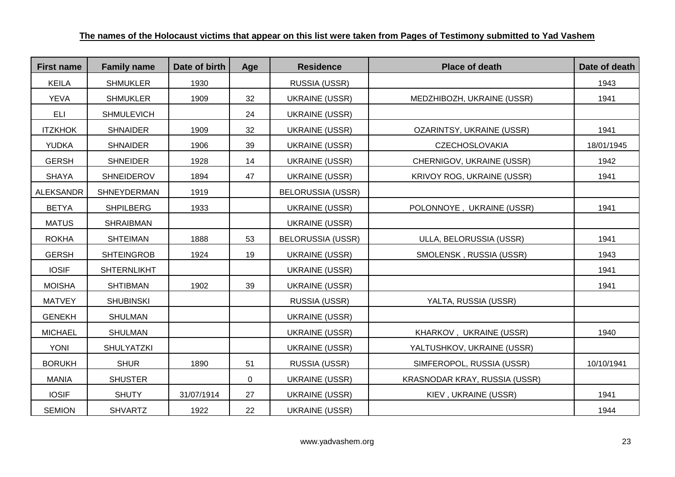| <b>First name</b> | <b>Family name</b> | Date of birth | Age | <b>Residence</b>         | <b>Place of death</b>             | Date of death |
|-------------------|--------------------|---------------|-----|--------------------------|-----------------------------------|---------------|
| <b>KEILA</b>      | <b>SHMUKLER</b>    | 1930          |     | RUSSIA (USSR)            |                                   | 1943          |
| <b>YEVA</b>       | <b>SHMUKLER</b>    | 1909          | 32  | <b>UKRAINE (USSR)</b>    | MEDZHIBOZH, UKRAINE (USSR)        | 1941          |
| <b>ELI</b>        | <b>SHMULEVICH</b>  |               | 24  | <b>UKRAINE (USSR)</b>    |                                   |               |
| <b>ITZKHOK</b>    | <b>SHNAIDER</b>    | 1909          | 32  | <b>UKRAINE (USSR)</b>    | OZARINTSY, UKRAINE (USSR)         | 1941          |
| <b>YUDKA</b>      | <b>SHNAIDER</b>    | 1906          | 39  | <b>UKRAINE (USSR)</b>    | <b>CZECHOSLOVAKIA</b>             | 18/01/1945    |
| <b>GERSH</b>      | <b>SHNEIDER</b>    | 1928          | 14  | UKRAINE (USSR)           | CHERNIGOV, UKRAINE (USSR)         | 1942          |
| <b>SHAYA</b>      | <b>SHNEIDEROV</b>  | 1894          | 47  | <b>UKRAINE (USSR)</b>    | <b>KRIVOY ROG, UKRAINE (USSR)</b> | 1941          |
| <b>ALEKSANDR</b>  | SHNEYDERMAN        | 1919          |     | <b>BELORUSSIA (USSR)</b> |                                   |               |
| <b>BETYA</b>      | <b>SHPILBERG</b>   | 1933          |     | <b>UKRAINE (USSR)</b>    | POLONNOYE, UKRAINE (USSR)         | 1941          |
| <b>MATUS</b>      | <b>SHRAIBMAN</b>   |               |     | <b>UKRAINE (USSR)</b>    |                                   |               |
| <b>ROKHA</b>      | <b>SHTEIMAN</b>    | 1888          | 53  | <b>BELORUSSIA (USSR)</b> | ULLA, BELORUSSIA (USSR)           | 1941          |
| <b>GERSH</b>      | <b>SHTEINGROB</b>  | 1924          | 19  | UKRAINE (USSR)           | SMOLENSK, RUSSIA (USSR)           | 1943          |
| <b>IOSIF</b>      | <b>SHTERNLIKHT</b> |               |     | <b>UKRAINE (USSR)</b>    |                                   | 1941          |
| <b>MOISHA</b>     | <b>SHTIBMAN</b>    | 1902          | 39  | UKRAINE (USSR)           |                                   | 1941          |
| <b>MATVEY</b>     | <b>SHUBINSKI</b>   |               |     | RUSSIA (USSR)            | YALTA, RUSSIA (USSR)              |               |
| <b>GENEKH</b>     | <b>SHULMAN</b>     |               |     | <b>UKRAINE (USSR)</b>    |                                   |               |
| <b>MICHAEL</b>    | <b>SHULMAN</b>     |               |     | <b>UKRAINE (USSR)</b>    | KHARKOV, UKRAINE (USSR)           | 1940          |
| <b>YONI</b>       | <b>SHULYATZKI</b>  |               |     | <b>UKRAINE (USSR)</b>    | YALTUSHKOV, UKRAINE (USSR)        |               |
| <b>BORUKH</b>     | <b>SHUR</b>        | 1890          | 51  | RUSSIA (USSR)            | SIMFEROPOL, RUSSIA (USSR)         | 10/10/1941    |
| <b>MANIA</b>      | <b>SHUSTER</b>     |               | 0   | UKRAINE (USSR)           | KRASNODAR KRAY, RUSSIA (USSR)     |               |
| <b>IOSIF</b>      | <b>SHUTY</b>       | 31/07/1914    | 27  | <b>UKRAINE (USSR)</b>    | KIEV, UKRAINE (USSR)              | 1941          |
| <b>SEMION</b>     | <b>SHVARTZ</b>     | 1922          | 22  | <b>UKRAINE (USSR)</b>    |                                   | 1944          |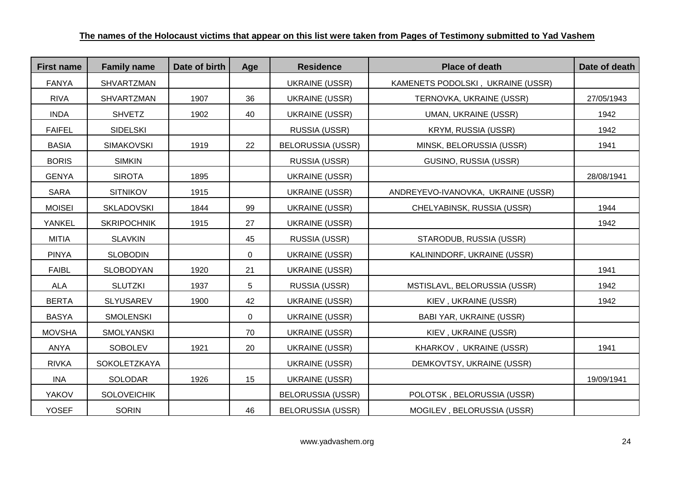| <b>First name</b> | <b>Family name</b> | Date of birth | Age | <b>Residence</b>         | <b>Place of death</b>              | Date of death |
|-------------------|--------------------|---------------|-----|--------------------------|------------------------------------|---------------|
| <b>FANYA</b>      | <b>SHVARTZMAN</b>  |               |     | <b>UKRAINE (USSR)</b>    | KAMENETS PODOLSKI, UKRAINE (USSR)  |               |
| <b>RIVA</b>       | SHVARTZMAN         | 1907          | 36  | <b>UKRAINE (USSR)</b>    | TERNOVKA, UKRAINE (USSR)           | 27/05/1943    |
| <b>INDA</b>       | <b>SHVETZ</b>      | 1902          | 40  | <b>UKRAINE (USSR)</b>    | <b>UMAN, UKRAINE (USSR)</b>        | 1942          |
| <b>FAIFEL</b>     | <b>SIDELSKI</b>    |               |     | RUSSIA (USSR)            | KRYM, RUSSIA (USSR)                | 1942          |
| <b>BASIA</b>      | <b>SIMAKOVSKI</b>  | 1919          | 22  | <b>BELORUSSIA (USSR)</b> | MINSK, BELORUSSIA (USSR)           | 1941          |
| <b>BORIS</b>      | <b>SIMKIN</b>      |               |     | RUSSIA (USSR)            | GUSINO, RUSSIA (USSR)              |               |
| <b>GENYA</b>      | <b>SIROTA</b>      | 1895          |     | <b>UKRAINE (USSR)</b>    |                                    | 28/08/1941    |
| SARA              | <b>SITNIKOV</b>    | 1915          |     | <b>UKRAINE (USSR)</b>    | ANDREYEVO-IVANOVKA, UKRAINE (USSR) |               |
| <b>MOISEI</b>     | <b>SKLADOVSKI</b>  | 1844          | 99  | <b>UKRAINE (USSR)</b>    | CHELYABINSK, RUSSIA (USSR)         | 1944          |
| YANKEL            | <b>SKRIPOCHNIK</b> | 1915          | 27  | <b>UKRAINE (USSR)</b>    |                                    | 1942          |
| <b>MITIA</b>      | <b>SLAVKIN</b>     |               | 45  | RUSSIA (USSR)            | STARODUB, RUSSIA (USSR)            |               |
| <b>PINYA</b>      | <b>SLOBODIN</b>    |               | 0   | <b>UKRAINE (USSR)</b>    | KALININDORF, UKRAINE (USSR)        |               |
| <b>FAIBL</b>      | <b>SLOBODYAN</b>   | 1920          | 21  | <b>UKRAINE (USSR)</b>    |                                    | 1941          |
| <b>ALA</b>        | <b>SLUTZKI</b>     | 1937          | 5   | RUSSIA (USSR)            | MSTISLAVL, BELORUSSIA (USSR)       | 1942          |
| <b>BERTA</b>      | <b>SLYUSAREV</b>   | 1900          | 42  | <b>UKRAINE (USSR)</b>    | KIEV, UKRAINE (USSR)               | 1942          |
| <b>BASYA</b>      | <b>SMOLENSKI</b>   |               | 0   | <b>UKRAINE (USSR)</b>    | <b>BABI YAR, UKRAINE (USSR)</b>    |               |
| <b>MOVSHA</b>     | SMOLYANSKI         |               | 70  | <b>UKRAINE (USSR)</b>    | KIEV, UKRAINE (USSR)               |               |
| ANYA              | <b>SOBOLEV</b>     | 1921          | 20  | <b>UKRAINE (USSR)</b>    | KHARKOV, UKRAINE (USSR)            | 1941          |
| <b>RIVKA</b>      | SOKOLETZKAYA       |               |     | <b>UKRAINE (USSR)</b>    | DEMKOVTSY, UKRAINE (USSR)          |               |
| INA               | SOLODAR            | 1926          | 15  | <b>UKRAINE (USSR)</b>    |                                    | 19/09/1941    |
| <b>YAKOV</b>      | <b>SOLOVEICHIK</b> |               |     | <b>BELORUSSIA (USSR)</b> | POLOTSK, BELORUSSIA (USSR)         |               |
| <b>YOSEF</b>      | <b>SORIN</b>       |               | 46  | <b>BELORUSSIA (USSR)</b> | MOGILEV, BELORUSSIA (USSR)         |               |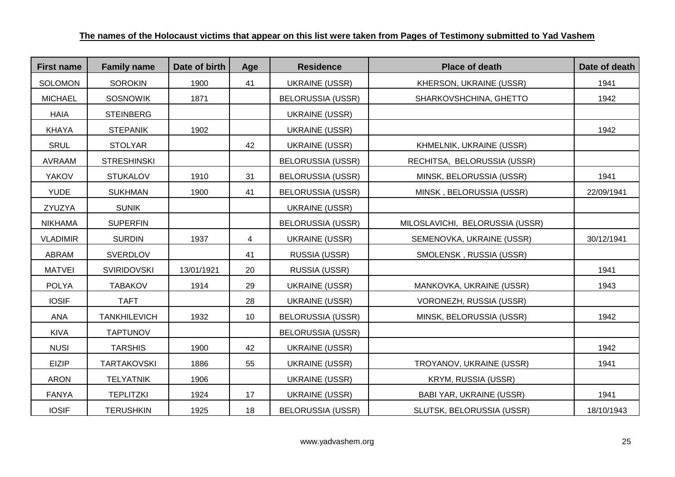| <b>First name</b> | <b>Family name</b>  | Date of birth | Age | <b>Residence</b>         | <b>Place of death</b>           | Date of death |
|-------------------|---------------------|---------------|-----|--------------------------|---------------------------------|---------------|
| <b>SOLOMON</b>    | <b>SOROKIN</b>      | 1900          | 41  | <b>UKRAINE (USSR)</b>    | KHERSON, UKRAINE (USSR)         | 1941          |
| <b>MICHAEL</b>    | <b>SOSNOWIK</b>     | 1871          |     | <b>BELORUSSIA (USSR)</b> | SHARKOVSHCHINA, GHETTO          | 1942          |
| <b>HAIA</b>       | <b>STEINBERG</b>    |               |     | <b>UKRAINE (USSR)</b>    |                                 |               |
| <b>KHAYA</b>      | <b>STEPANIK</b>     | 1902          |     | <b>UKRAINE (USSR)</b>    |                                 | 1942          |
| <b>SRUL</b>       | <b>STOLYAR</b>      |               | 42  | <b>UKRAINE (USSR)</b>    | KHMELNIK, UKRAINE (USSR)        |               |
| <b>AVRAAM</b>     | <b>STRESHINSKI</b>  |               |     | <b>BELORUSSIA (USSR)</b> | RECHITSA, BELORUSSIA (USSR)     |               |
| <b>YAKOV</b>      | <b>STUKALOV</b>     | 1910          | 31  | <b>BELORUSSIA (USSR)</b> | MINSK, BELORUSSIA (USSR)        | 1941          |
| <b>YUDE</b>       | <b>SUKHMAN</b>      | 1900          | 41  | <b>BELORUSSIA (USSR)</b> | MINSK, BELORUSSIA (USSR)        | 22/09/1941    |
| ZYUZYA            | <b>SUNIK</b>        |               |     | <b>UKRAINE (USSR)</b>    |                                 |               |
| <b>NIKHAMA</b>    | <b>SUPERFIN</b>     |               |     | <b>BELORUSSIA (USSR)</b> | MILOSLAVICHI, BELORUSSIA (USSR) |               |
| <b>VLADIMIR</b>   | <b>SURDIN</b>       | 1937          | 4   | <b>UKRAINE (USSR)</b>    | SEMENOVKA, UKRAINE (USSR)       | 30/12/1941    |
| ABRAM             | <b>SVERDLOV</b>     |               | 41  | RUSSIA (USSR)            | SMOLENSK, RUSSIA (USSR)         |               |
| <b>MATVEI</b>     | <b>SVIRIDOVSKI</b>  | 13/01/1921    | 20  | RUSSIA (USSR)            |                                 | 1941          |
| <b>POLYA</b>      | <b>TABAKOV</b>      | 1914          | 29  | <b>UKRAINE (USSR)</b>    | MANKOVKA, UKRAINE (USSR)        | 1943          |
| <b>IOSIF</b>      | <b>TAFT</b>         |               | 28  | <b>UKRAINE (USSR)</b>    | VORONEZH, RUSSIA (USSR)         |               |
| <b>ANA</b>        | <b>TANKHILEVICH</b> | 1932          | 10  | <b>BELORUSSIA (USSR)</b> | MINSK, BELORUSSIA (USSR)        | 1942          |
| <b>KIVA</b>       | <b>TAPTUNOV</b>     |               |     | <b>BELORUSSIA (USSR)</b> |                                 |               |
| <b>NUSI</b>       | <b>TARSHIS</b>      | 1900          | 42  | <b>UKRAINE (USSR)</b>    |                                 | 1942          |
| <b>EIZIP</b>      | <b>TARTAKOVSKI</b>  | 1886          | 55  | <b>UKRAINE (USSR)</b>    | TROYANOV, UKRAINE (USSR)        | 1941          |
| <b>ARON</b>       | <b>TELYATNIK</b>    | 1906          |     | <b>UKRAINE (USSR)</b>    | <b>KRYM, RUSSIA (USSR)</b>      |               |
| <b>FANYA</b>      | <b>TEPLITZKI</b>    | 1924          | 17  | <b>UKRAINE (USSR)</b>    | BABI YAR, UKRAINE (USSR)        | 1941          |
| <b>IOSIF</b>      | <b>TERUSHKIN</b>    | 1925          | 18  | <b>BELORUSSIA (USSR)</b> | SLUTSK, BELORUSSIA (USSR)       | 18/10/1943    |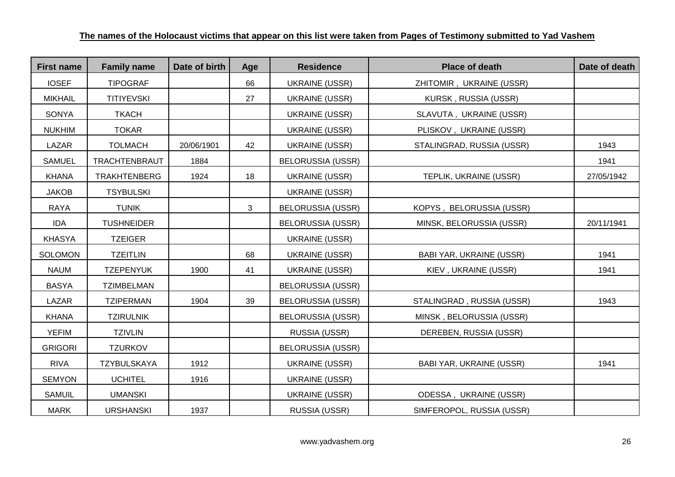| <b>First name</b> | <b>Family name</b> | Date of birth | Age | <b>Residence</b>         | <b>Place of death</b>           | Date of death |
|-------------------|--------------------|---------------|-----|--------------------------|---------------------------------|---------------|
| <b>IOSEF</b>      | <b>TIPOGRAF</b>    |               | 66  | <b>UKRAINE (USSR)</b>    | ZHITOMIR, UKRAINE (USSR)        |               |
| <b>MIKHAIL</b>    | <b>TITIYEVSKI</b>  |               | 27  | <b>UKRAINE (USSR)</b>    | KURSK, RUSSIA (USSR)            |               |
| SONYA             | <b>TKACH</b>       |               |     | <b>UKRAINE (USSR)</b>    | SLAVUTA, UKRAINE (USSR)         |               |
| <b>NUKHIM</b>     | <b>TOKAR</b>       |               |     | UKRAINE (USSR)           | PLISKOV, UKRAINE (USSR)         |               |
| LAZAR             | <b>TOLMACH</b>     | 20/06/1901    | 42  | <b>UKRAINE (USSR)</b>    | STALINGRAD, RUSSIA (USSR)       | 1943          |
| <b>SAMUEL</b>     | TRACHTENBRAUT      | 1884          |     | <b>BELORUSSIA (USSR)</b> |                                 | 1941          |
| <b>KHANA</b>      | TRAKHTENBERG       | 1924          | 18  | <b>UKRAINE (USSR)</b>    | TEPLIK, UKRAINE (USSR)          | 27/05/1942    |
| <b>JAKOB</b>      | <b>TSYBULSKI</b>   |               |     | <b>UKRAINE (USSR)</b>    |                                 |               |
| <b>RAYA</b>       | <b>TUNIK</b>       |               | 3   | <b>BELORUSSIA (USSR)</b> | KOPYS, BELORUSSIA (USSR)        |               |
| <b>IDA</b>        | <b>TUSHNEIDER</b>  |               |     | <b>BELORUSSIA (USSR)</b> | MINSK, BELORUSSIA (USSR)        | 20/11/1941    |
| <b>KHASYA</b>     | <b>TZEIGER</b>     |               |     | <b>UKRAINE (USSR)</b>    |                                 |               |
| <b>SOLOMON</b>    | <b>TZEITLIN</b>    |               | 68  | UKRAINE (USSR)           | BABI YAR, UKRAINE (USSR)        | 1941          |
| <b>NAUM</b>       | <b>TZEPENYUK</b>   | 1900          | 41  | UKRAINE (USSR)           | KIEV, UKRAINE (USSR)            | 1941          |
| <b>BASYA</b>      | <b>TZIMBELMAN</b>  |               |     | <b>BELORUSSIA (USSR)</b> |                                 |               |
| <b>LAZAR</b>      | <b>TZIPERMAN</b>   | 1904          | 39  | <b>BELORUSSIA (USSR)</b> | STALINGRAD, RUSSIA (USSR)       | 1943          |
| <b>KHANA</b>      | <b>TZIRULNIK</b>   |               |     | <b>BELORUSSIA (USSR)</b> | MINSK, BELORUSSIA (USSR)        |               |
| <b>YEFIM</b>      | <b>TZIVLIN</b>     |               |     | RUSSIA (USSR)            | DEREBEN, RUSSIA (USSR)          |               |
| <b>GRIGORI</b>    | <b>TZURKOV</b>     |               |     | <b>BELORUSSIA (USSR)</b> |                                 |               |
| <b>RIVA</b>       | <b>TZYBULSKAYA</b> | 1912          |     | <b>UKRAINE (USSR)</b>    | <b>BABI YAR, UKRAINE (USSR)</b> | 1941          |
| <b>SEMYON</b>     | <b>UCHITEL</b>     | 1916          |     | <b>UKRAINE (USSR)</b>    |                                 |               |
| <b>SAMUIL</b>     | <b>UMANSKI</b>     |               |     | <b>UKRAINE (USSR)</b>    | ODESSA, UKRAINE (USSR)          |               |
| <b>MARK</b>       | <b>URSHANSKI</b>   | 1937          |     | RUSSIA (USSR)            | SIMFEROPOL, RUSSIA (USSR)       |               |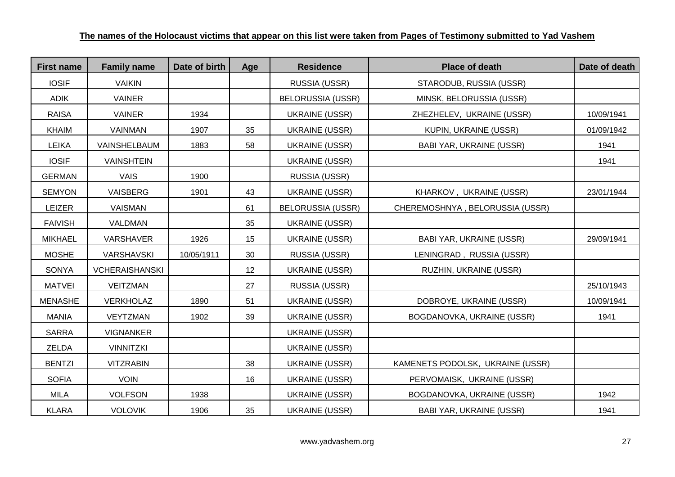| <b>First name</b> | <b>Family name</b>    | Date of birth | Age | <b>Residence</b>         | <b>Place of death</b>            | Date of death |
|-------------------|-----------------------|---------------|-----|--------------------------|----------------------------------|---------------|
| <b>IOSIF</b>      | <b>VAIKIN</b>         |               |     | RUSSIA (USSR)            | STARODUB, RUSSIA (USSR)          |               |
| <b>ADIK</b>       | <b>VAINER</b>         |               |     | <b>BELORUSSIA (USSR)</b> | MINSK, BELORUSSIA (USSR)         |               |
| <b>RAISA</b>      | <b>VAINER</b>         | 1934          |     | <b>UKRAINE (USSR)</b>    | ZHEZHELEV, UKRAINE (USSR)        | 10/09/1941    |
| <b>KHAIM</b>      | <b>VAINMAN</b>        | 1907          | 35  | <b>UKRAINE (USSR)</b>    | KUPIN, UKRAINE (USSR)            | 01/09/1942    |
| <b>LEIKA</b>      | VAINSHELBAUM          | 1883          | 58  | UKRAINE (USSR)           | <b>BABI YAR, UKRAINE (USSR)</b>  | 1941          |
| <b>IOSIF</b>      | <b>VAINSHTEIN</b>     |               |     | <b>UKRAINE (USSR)</b>    |                                  | 1941          |
| <b>GERMAN</b>     | <b>VAIS</b>           | 1900          |     | RUSSIA (USSR)            |                                  |               |
| <b>SEMYON</b>     | VAISBERG              | 1901          | 43  | <b>UKRAINE (USSR)</b>    | KHARKOV, UKRAINE (USSR)          | 23/01/1944    |
| LEIZER            | <b>VAISMAN</b>        |               | 61  | <b>BELORUSSIA (USSR)</b> | CHEREMOSHNYA, BELORUSSIA (USSR)  |               |
| <b>FAIVISH</b>    | <b>VALDMAN</b>        |               | 35  | <b>UKRAINE (USSR)</b>    |                                  |               |
| <b>MIKHAEL</b>    | <b>VARSHAVER</b>      | 1926          | 15  | <b>UKRAINE (USSR)</b>    | <b>BABI YAR, UKRAINE (USSR)</b>  | 29/09/1941    |
| <b>MOSHE</b>      | <b>VARSHAVSKI</b>     | 10/05/1911    | 30  | RUSSIA (USSR)            | LENINGRAD, RUSSIA (USSR)         |               |
| <b>SONYA</b>      | <b>VCHERAISHANSKI</b> |               | 12  | <b>UKRAINE (USSR)</b>    | RUZHIN, UKRAINE (USSR)           |               |
| <b>MATVEI</b>     | <b>VEITZMAN</b>       |               | 27  | RUSSIA (USSR)            |                                  | 25/10/1943    |
| <b>MENASHE</b>    | <b>VERKHOLAZ</b>      | 1890          | 51  | <b>UKRAINE (USSR)</b>    | DOBROYE, UKRAINE (USSR)          | 10/09/1941    |
| <b>MANIA</b>      | VEYTZMAN              | 1902          | 39  | <b>UKRAINE (USSR)</b>    | BOGDANOVKA, UKRAINE (USSR)       | 1941          |
| <b>SARRA</b>      | <b>VIGNANKER</b>      |               |     | <b>UKRAINE (USSR)</b>    |                                  |               |
| <b>ZELDA</b>      | <b>VINNITZKI</b>      |               |     | <b>UKRAINE (USSR)</b>    |                                  |               |
| <b>BENTZI</b>     | <b>VITZRABIN</b>      |               | 38  | <b>UKRAINE (USSR)</b>    | KAMENETS PODOLSK, UKRAINE (USSR) |               |
| <b>SOFIA</b>      | <b>VOIN</b>           |               | 16  | <b>UKRAINE (USSR)</b>    | PERVOMAISK, UKRAINE (USSR)       |               |
| <b>MILA</b>       | <b>VOLFSON</b>        | 1938          |     | <b>UKRAINE (USSR)</b>    | BOGDANOVKA, UKRAINE (USSR)       | 1942          |
| <b>KLARA</b>      | <b>VOLOVIK</b>        | 1906          | 35  | <b>UKRAINE (USSR)</b>    | BABI YAR, UKRAINE (USSR)         | 1941          |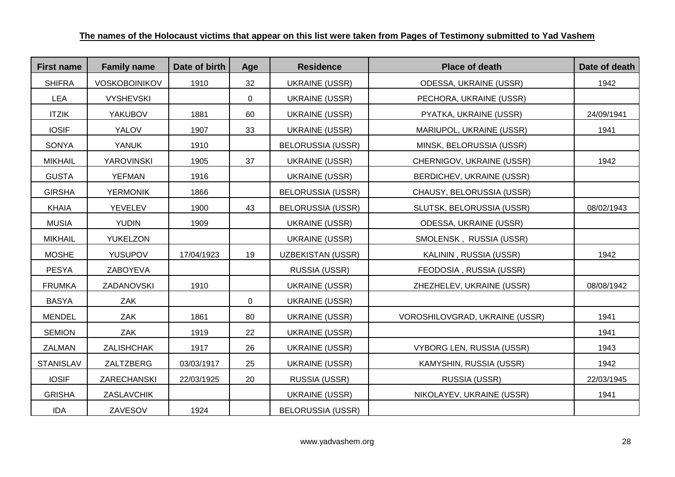| <b>First name</b> | <b>Family name</b>   | Date of birth | Age            | <b>Residence</b>         | <b>Place of death</b>            | Date of death |
|-------------------|----------------------|---------------|----------------|--------------------------|----------------------------------|---------------|
| <b>SHIFRA</b>     | <b>VOSKOBOINIKOV</b> | 1910          | 32             | <b>UKRAINE (USSR)</b>    | ODESSA, UKRAINE (USSR)           | 1942          |
| <b>LEA</b>        | <b>VYSHEVSKI</b>     |               | $\overline{0}$ | <b>UKRAINE (USSR)</b>    | PECHORA, UKRAINE (USSR)          |               |
| <b>ITZIK</b>      | YAKUBOV              | 1881          | 60             | <b>UKRAINE (USSR)</b>    | PYATKA, UKRAINE (USSR)           | 24/09/1941    |
| <b>IOSIF</b>      | YALOV                | 1907          | 33             | <b>UKRAINE (USSR)</b>    | MARIUPOL, UKRAINE (USSR)         | 1941          |
| SONYA             | <b>YANUK</b>         | 1910          |                | <b>BELORUSSIA (USSR)</b> | MINSK, BELORUSSIA (USSR)         |               |
| <b>MIKHAIL</b>    | <b>YAROVINSKI</b>    | 1905          | 37             | <b>UKRAINE (USSR)</b>    | CHERNIGOV, UKRAINE (USSR)        | 1942          |
| <b>GUSTA</b>      | <b>YEFMAN</b>        | 1916          |                | <b>UKRAINE (USSR)</b>    | BERDICHEV, UKRAINE (USSR)        |               |
| <b>GIRSHA</b>     | <b>YERMONIK</b>      | 1866          |                | <b>BELORUSSIA (USSR)</b> | CHAUSY, BELORUSSIA (USSR)        |               |
| <b>KHAIA</b>      | YEVELEV              | 1900          | 43             | <b>BELORUSSIA (USSR)</b> | SLUTSK, BELORUSSIA (USSR)        | 08/02/1943    |
| <b>MUSIA</b>      | <b>YUDIN</b>         | 1909          |                | <b>UKRAINE (USSR)</b>    | ODESSA, UKRAINE (USSR)           |               |
| <b>MIKHAIL</b>    | <b>YUKELZON</b>      |               |                | <b>UKRAINE (USSR)</b>    | SMOLENSK, RUSSIA (USSR)          |               |
| <b>MOSHE</b>      | <b>YUSUPOV</b>       | 17/04/1923    | 19             | <b>UZBEKISTAN (USSR)</b> | KALININ, RUSSIA (USSR)           | 1942          |
| <b>PESYA</b>      | ZABOYEVA             |               |                | RUSSIA (USSR)            | FEODOSIA, RUSSIA (USSR)          |               |
| <b>FRUMKA</b>     | ZADANOVSKI           | 1910          |                | <b>UKRAINE (USSR)</b>    | ZHEZHELEV, UKRAINE (USSR)        | 08/08/1942    |
| <b>BASYA</b>      | ZAK                  |               | 0              | <b>UKRAINE (USSR)</b>    |                                  |               |
| <b>MENDEL</b>     | ZAK                  | 1861          | 80             | <b>UKRAINE (USSR)</b>    | VOROSHILOVGRAD, UKRAINE (USSR)   | 1941          |
| <b>SEMION</b>     | ZAK                  | 1919          | 22             | <b>UKRAINE (USSR)</b>    |                                  | 1941          |
| ZALMAN            | ZALISHCHAK           | 1917          | 26             | <b>UKRAINE (USSR)</b>    | <b>VYBORG LEN, RUSSIA (USSR)</b> | 1943          |
| <b>STANISLAV</b>  | ZALTZBERG            | 03/03/1917    | 25             | <b>UKRAINE (USSR)</b>    | KAMYSHIN, RUSSIA (USSR)          | 1942          |
| <b>IOSIF</b>      | ZARECHANSKI          | 22/03/1925    | 20             | RUSSIA (USSR)            | RUSSIA (USSR)                    | 22/03/1945    |
| <b>GRISHA</b>     | ZASLAVCHIK           |               |                | <b>UKRAINE (USSR)</b>    | NIKOLAYEV, UKRAINE (USSR)        | 1941          |
| IDA               | ZAVESOV              | 1924          |                | <b>BELORUSSIA (USSR)</b> |                                  |               |